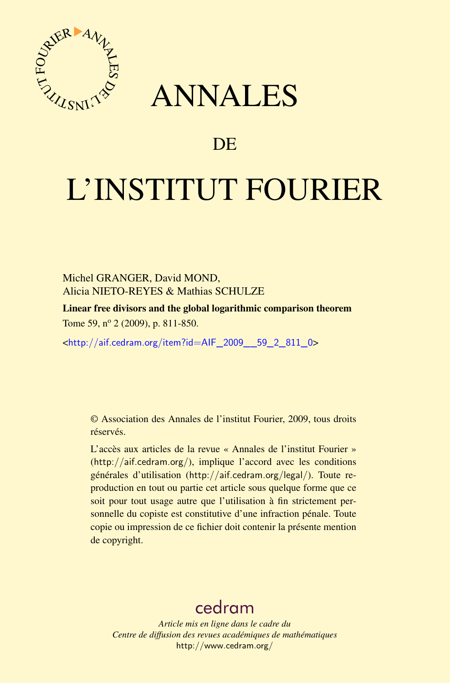

## ANNALES

## **DE**

# L'INSTITUT FOURIER

Michel GRANGER, David MOND, Alicia NIETO-REYES & Mathias SCHULZE

Linear free divisors and the global logarithmic comparison theorem Tome 59, nº 2 (2009), p. 811-850.

 $\text{chttp:}/\text{/aif.cedram.org/item?id=AlF}$  2009 59\_2\_811\_0>

© Association des Annales de l'institut Fourier, 2009, tous droits réservés.

L'accès aux articles de la revue « Annales de l'institut Fourier » (<http://aif.cedram.org/>), implique l'accord avec les conditions générales d'utilisation (<http://aif.cedram.org/legal/>). Toute reproduction en tout ou partie cet article sous quelque forme que ce soit pour tout usage autre que l'utilisation à fin strictement personnelle du copiste est constitutive d'une infraction pénale. Toute copie ou impression de ce fichier doit contenir la présente mention de copyright.

## [cedram](http://www.cedram.org/)

*Article mis en ligne dans le cadre du Centre de diffusion des revues académiques de mathématiques* <http://www.cedram.org/>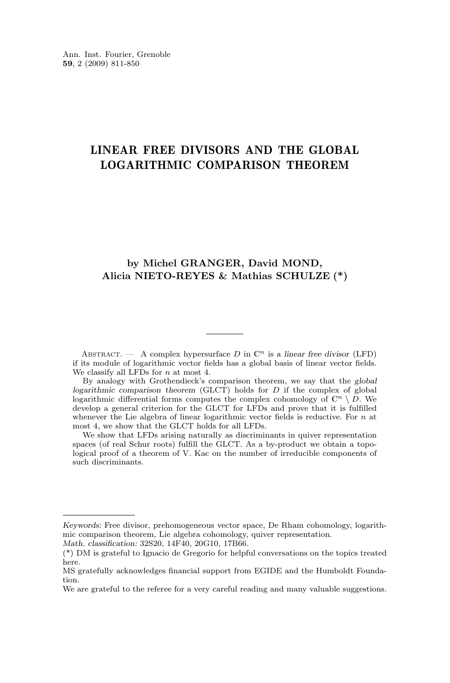### LINEAR FREE DIVISORS AND THE GLOBAL LOGARITHMIC COMPARISON THEOREM

#### **by Michel GRANGER, David MOND, Alicia NIETO-REYES & Mathias SCHULZE (\*)**

ABSTRACT. — A complex hypersurface D in  $\mathbb{C}^n$  is a *linear free divisor* (LFD) if its module of logarithmic vector fields has a global basis of linear vector fields. We classify all LFDs for  $n$  at most 4.

By analogy with Grothendieck's comparison theorem, we say that the *global logarithmic comparison theorem* (GLCT) holds for D if the complex of global logarithmic differential forms computes the complex cohomology of  $\mathbb{C}^n \setminus \overline{D}$ . We develop a general criterion for the GLCT for LFDs and prove that it is fulfilled whenever the Lie algebra of linear logarithmic vector fields is reductive. For  $n$  at most 4, we show that the GLCT holds for all LFDs.

We show that LFDs arising naturally as discriminants in quiver representation spaces (of real Schur roots) fulfill the GLCT. As a by-product we obtain a topological proof of a theorem of V. Kac on the number of irreducible components of such discriminants.

*Keywords:* Free divisor, prehomogeneous vector space, De Rham cohomology, logarithmic comparison theorem, Lie algebra cohomology, quiver representation.

*Math. classification:* 32S20, 14F40, 20G10, 17B66.

<sup>(\*)</sup> DM is grateful to Ignacio de Gregorio for helpful conversations on the topics treated here.

MS gratefully acknowledges financial support from EGIDE and the Humboldt Foundation.

We are grateful to the referee for a very careful reading and many valuable suggestions.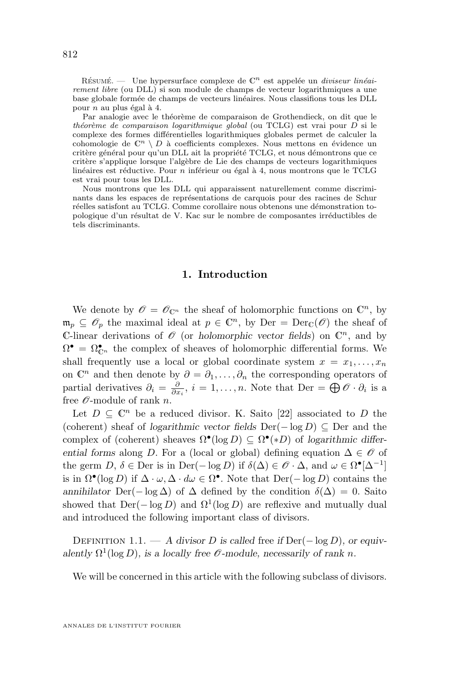<span id="page-2-0"></span>RÉSUMÉ. — Une hypersurface complexe de  $\mathbb{C}^n$  est appelée un *diviseur linéairement libre* (ou DLL) si son module de champs de vecteur logarithmiques a une base globale formée de champs de vecteurs linéaires. Nous classifions tous les DLL pour n au plus égal à 4.

Par analogie avec le théorème de comparaison de Grothendieck, on dit que le *théorème de comparaison logarithmique global* (ou TCLG) est vrai pour D si le complexe des formes différentielles logarithmiques globales permet de calculer la cohomologie de  $\mathbb{C}^n \setminus D$  à coefficients complexes. Nous mettons en évidence un critère général pour qu'un DLL ait la propriété TCLG, et nous démontrons que ce critère s'applique lorsque l'algèbre de Lie des champs de vecteurs logarithmiques linéaires est réductive. Pour  $n$  inférieur ou égal à 4, nous montrons que le TCLG est vrai pour tous les DLL.

Nous montrons que les DLL qui apparaissent naturellement comme discriminants dans les espaces de représentations de carquois pour des racines de Schur réelles satisfont au TCLG. Comme corollaire nous obtenons une démonstration topologique d'un résultat de V. Kac sur le nombre de composantes irréductibles de tels discriminants.

#### **1. Introduction**

We denote by  $\mathscr{O} = \mathscr{O}_{\mathbb{C}^n}$  the sheaf of holomorphic functions on  $\mathbb{C}^n$ , by  $\mathfrak{m}_p \subseteq \mathscr{O}_p$  the maximal ideal at  $p \in \mathbb{C}^n$ , by  $\text{Der} = \text{Der}_{\mathbb{C}}(\mathscr{O})$  the sheaf of C-linear derivations of  $\mathscr O$  (or *holomorphic vector fields*) on  $\mathbb C^n$ , and by  $\Omega^{\bullet} = \Omega^{\bullet}_{\mathbb{C}^n}$  the complex of sheaves of holomorphic differential forms. We shall frequently use a local or global coordinate system  $x = x_1, \ldots, x_n$ on  $\mathbb{C}^n$  and then denote by  $\partial = \partial_1, \ldots, \partial_n$  the corresponding operators of partial derivatives  $\partial_i = \frac{\partial}{\partial x_i}$ ,  $i = 1, ..., n$ . Note that Der =  $\bigoplus \mathscr{O} \cdot \partial_i$  is a free  $\mathcal{O}$ -module of rank *n*.

Let  $D \subseteq \mathbb{C}^n$  be a reduced divisor. K. Saito [\[22\]](#page-39-0) associated to D the (coherent) sheaf of *logarithmic vector fields* Der(− log D) ⊆ Der and the complex of (coherent) sheaves  $\Omega^{\bullet}(\log D) \subseteq \Omega^{\bullet}(*D)$  of *logarithmic differential forms* along D. For a (local or global) defining equation  $\Delta \in \mathcal{O}$  of the germ  $D, \delta \in \text{Der}$  is in  $\text{Der}(-\log D)$  if  $\delta(\Delta) \in \mathscr{O} \cdot \Delta$ , and  $\omega \in \Omega^{\bullet}[\Delta^{-1}]$ is in  $\Omega^{\bullet}(\log D)$  if  $\Delta \cdot \omega, \Delta \cdot d\omega \in \Omega^{\bullet}$ . Note that  $\text{Der}(-\log D)$  contains the *annihilator* Der(− log  $\Delta$ ) of  $\Delta$  defined by the condition  $\delta(\Delta) = 0$ . Saito showed that  $Der(-\log D)$  and  $\Omega^1(\log D)$  are reflexive and mutually dual and introduced the following important class of divisors.

Definition 1.1. — *A divisor* D *is called* free *if* Der(− log D)*, or equiv*alently  $\Omega^1(\log D)$ *, is a locally free*  $\mathcal O$ -module, necessarily of rank n.

We will be concerned in this article with the following subclass of divisors.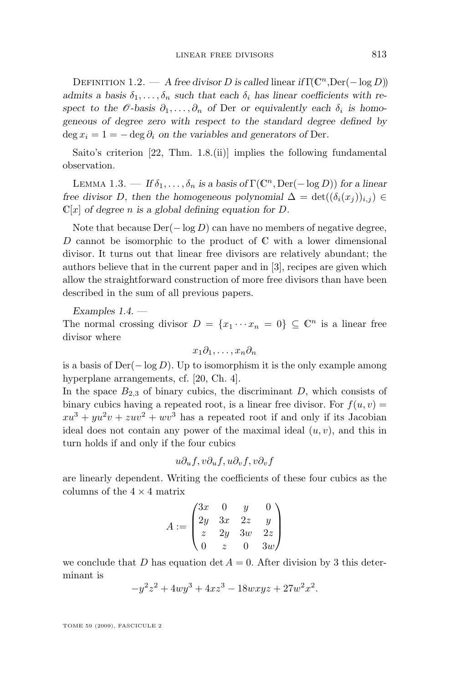<span id="page-3-0"></span>DEFINITION 1.2. — *A free divisor D is called linear if*  $\Gamma(\mathbb{C}^n, \text{Der}(-\log D))$ *admits a basis*  $\delta_1, \ldots, \delta_n$  *such that each*  $\delta_i$  *has linear coefficients with respect to the*  $\mathcal{O}$ *-basis*  $\partial_1, \ldots, \partial_n$  *of* Der *or equivalently each*  $\delta_i$  *is homogeneous of degree zero with respect to the standard degree defined by*  $\deg x_i = 1 = - \deg \partial_i$  *on the variables and generators of Der.* 

Saito's criterion [\[22,](#page-39-0) Thm. 1.8.(ii)] implies the following fundamental observation.

LEMMA 1.3. — *If*  $\delta_1, \ldots, \delta_n$  *is a basis of*  $\Gamma(\mathbb{C}^n, \text{Der}(-\log D))$  for a linear *free divisor* D, then the homogeneous polynomial  $\Delta = \det((\delta_i(x_i))_{i,i}) \in$  $\mathbb{C}[x]$  *of degree n* is a global defining equation for D.

Note that because  $Der(-\log D)$  can have no members of negative degree, D cannot be isomorphic to the product of  $\mathbb C$  with a lower dimensional divisor. It turns out that linear free divisors are relatively abundant; the authors believe that in the current paper and in [\[3\]](#page-38-0), recipes are given which allow the straightforward construction of more free divisors than have been described in the sum of all previous papers.

*Examples 1.4. —*

The normal crossing divisor  $D = \{x_1 \cdots x_n = 0\} \subseteq \mathbb{C}^n$  is a linear free divisor where

$$
x_1\partial_1,\ldots,x_n\partial_n
$$

is a basis of  $Der(-\log D)$ . Up to isomorphism it is the only example among hyperplane arrangements, cf. [\[20,](#page-39-0) Ch. 4].

In the space  $B_{2,3}$  of binary cubics, the discriminant D, which consists of binary cubics having a repeated root, is a linear free divisor. For  $f(u, v) =$  $xu^3 + yu^2v + zuv^2 + wv^3$  has a repeated root if and only if its Jacobian ideal does not contain any power of the maximal ideal  $(u, v)$ , and this in turn holds if and only if the four cubics

$$
u\partial_uf, v\partial_uf, u\partial_vf, v\partial_vf
$$

are linearly dependent. Writing the coefficients of these four cubics as the columns of the  $4 \times 4$  matrix

$$
A := \begin{pmatrix} 3x & 0 & y & 0 \\ 2y & 3x & 2z & y \\ z & 2y & 3w & 2z \\ 0 & z & 0 & 3w \end{pmatrix}
$$

we conclude that D has equation det  $A = 0$ . After division by 3 this determinant is

$$
-y^2z^2 + 4wy^3 + 4xz^3 - 18wxyz + 27w^2x^2.
$$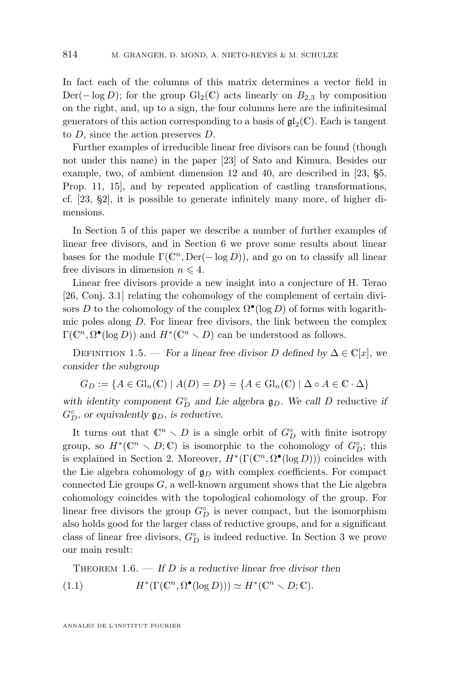<span id="page-4-0"></span>In fact each of the columns of this matrix determines a vector field in  $Der(-\log D)$ ; for the group Gl<sub>2</sub>(C) acts linearly on  $B_{2,3}$  by composition on the right, and, up to a sign, the four columns here are the infinitesimal generators of this action corresponding to a basis of  $\mathfrak{gl}_2(\mathbb{C})$ . Each is tangent to D, since the action preserves D.

Further examples of irreducible linear free divisors can be found (though not under this name) in the paper [\[23\]](#page-39-0) of Sato and Kimura. Besides our example, two, of ambient dimension 12 and 40, are described in [\[23,](#page-39-0) §5, Prop. 11, 15], and by repeated application of castling transformations, cf. [\[23,](#page-39-0) §2], it is possible to generate infinitely many more, of higher dimensions.

In Section [5](#page-15-0) of this paper we describe a number of further examples of linear free divisors, and in Section [6](#page-22-0) we prove some results about linear bases for the module  $\Gamma(\mathbb{C}^n, \text{Der}(-\log D))$ , and go on to classify all linear free divisors in dimension  $n \leq 4$ .

Linear free divisors provide a new insight into a conjecture of H. Terao [\[26,](#page-39-0) Conj. 3.1] relating the cohomology of the complement of certain divisors D to the cohomology of the complex  $\Omega^{\bullet}(\log D)$  of forms with logarithmic poles along D. For linear free divisors, the link between the complex  $\Gamma(\mathbb{C}^n, \Omega^{\bullet}(\log D))$  and  $H^*(\mathbb{C}^n \setminus D)$  can be understood as follows.

DEFINITION 1.5. — *For a linear free divisor D defined by*  $\Delta \in \mathbb{C}[x]$ *, we consider the subgroup*

$$
G_D := \{ A \in \mathrm{Gl}_n(\mathbb{C}) \mid A(D) = D \} = \{ A \in \mathrm{Gl}_n(\mathbb{C}) \mid \Delta \circ A \in \mathbb{C} \cdot \Delta \}
$$

with identity component  $G_{D}^{\circ}$  and Lie algebra  $\mathfrak{g}_{D}$ . We call D reductive *if*  $G_D^{\circ}$ , or equivalently  $\mathfrak{g}_D$ , is reductive.

It turns out that  $\mathbb{C}^n \setminus D$  is a single orbit of  $G^{\circ}_{D}$  with finite isotropy group, so  $H^*(\mathbb{C}^n \setminus D; \mathbb{C})$  is isomorphic to the cohomology of  $G_D^{\circ}$ ; this is explained in Section [2.](#page-7-0) Moreover,  $H^*(\Gamma(\mathbb{C}^n, \Omega^{\bullet}(\log D)))$  coincides with the Lie algebra cohomology of  $\mathfrak{g}_D$  with complex coefficients. For compact connected Lie groups  $G$ , a well-known argument shows that the Lie algebra cohomology coincides with the topological cohomology of the group. For linear free divisors the group  $G_D^{\circ}$  is never compact, but the isomorphism also holds good for the larger class of reductive groups, and for a significant class of linear free divisors,  $G_D^{\circ}$  is indeed reductive. In Section [3](#page-9-0) we prove our main result:

THEOREM 1.6. — If D is a reductive linear free divisor then  $(1.1)$  $(\Gamma(\mathbb{C}^n, \Omega^{\bullet}(\log D))) \simeq H^*(\mathbb{C}^n \setminus D; \mathbb{C}).$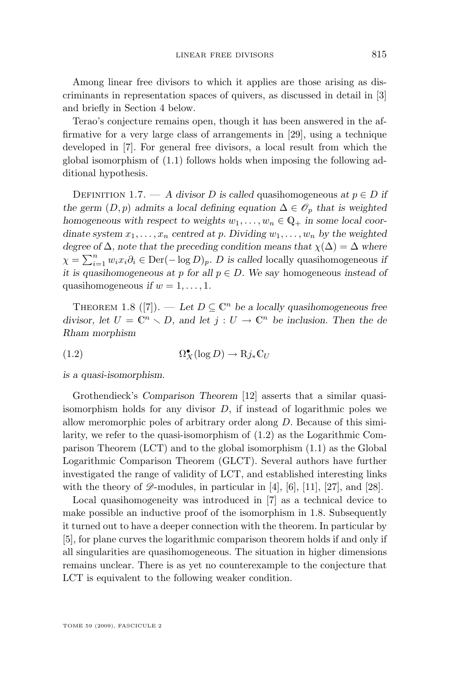<span id="page-5-0"></span>Among linear free divisors to which it applies are those arising as discriminants in representation spaces of quivers, as discussed in detail in [\[3\]](#page-38-0) and briefly in Section [4](#page-13-0) below.

Terao's conjecture remains open, though it has been answered in the affirmative for a very large class of arrangements in [\[29\]](#page-40-0), using a technique developed in [\[7\]](#page-39-0). For general free divisors, a local result from which the global isomorphism of [\(1.1\)](#page-4-0) follows holds when imposing the following additional hypothesis.

DEFINITION 1.7. — A divisor D is called quasihomogeneous at  $p \in D$  if *the germ*  $(D, p)$  *admits a local defining equation*  $\Delta \in \mathcal{O}_p$  *that is weighted homogeneous with respect to weights*  $w_1, \ldots, w_n \in \mathbb{Q}_+$  *in some local coordinate system*  $x_1, \ldots, x_n$  *centred at p. Dividing*  $w_1, \ldots, w_n$  *by the weighted degree of*  $\Delta$ *, note that the preceding condition means that*  $\chi(\Delta) = \Delta$  *where*  $\chi = \sum_{i=1}^{n} w_i x_i \partial_i \in \text{Der}(-\log D)_p$ . *D* is called locally quasihomogeneous *if it is quasihomogeneous at* p *for all* p ∈ D*. We say* homogeneous *instead of* quasihomogeneous *if*  $w = 1, \ldots, 1$ .

THEOREM 1.8 ([\[7\]](#page-39-0)). — Let  $D \subseteq \mathbb{C}^n$  be a locally quasihomogeneous free *divisor, let*  $U = \mathbb{C}^n \setminus D$ *, and let*  $j : U \to \mathbb{C}^n$  *be inclusion. Then the de Rham morphism*

 $(1.2)$  $\mathcal{L}_X(\log D) \to \mathrm{R}j_*\mathbb{C}_U$ 

*is a quasi-isomorphism.*

Grothendieck's *Comparison Theorem* [\[12\]](#page-39-0) asserts that a similar quasiisomorphism holds for any divisor  $D$ , if instead of logarithmic poles we allow meromorphic poles of arbitrary order along D. Because of this similarity, we refer to the quasi-isomorphism of (1.2) as the Logarithmic Comparison Theorem (LCT) and to the global isomorphism [\(1.1\)](#page-4-0) as the Global Logarithmic Comparison Theorem (GLCT). Several authors have further investigated the range of validity of LCT, and established interesting links with the theory of  $\mathscr{D}$ -modules, in particular in [\[4\]](#page-38-0), [\[6\]](#page-39-0), [\[11\]](#page-39-0), [\[27\]](#page-40-0), and [\[28\]](#page-40-0).

Local quasihomogeneity was introduced in [\[7\]](#page-39-0) as a technical device to make possible an inductive proof of the isomorphism in 1.8. Subsequently it turned out to have a deeper connection with the theorem. In particular by [\[5\]](#page-38-0), for plane curves the logarithmic comparison theorem holds if and only if all singularities are quasihomogeneous. The situation in higher dimensions remains unclear. There is as yet no counterexample to the conjecture that LCT is equivalent to the following weaker condition.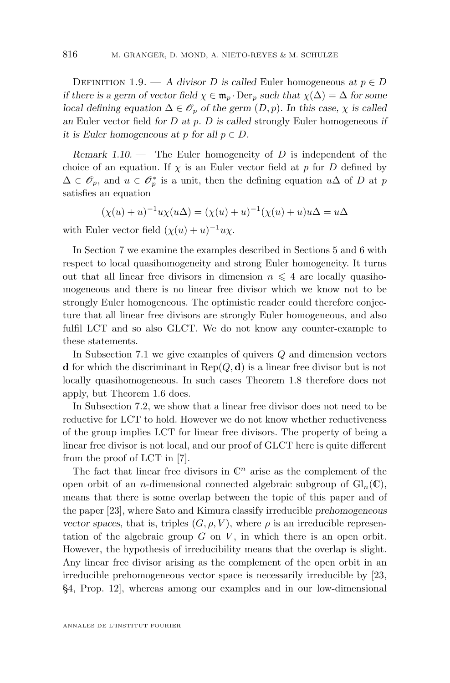DEFINITION 1.9. — A divisor D is called Euler homogeneous at  $p \in D$ *if there is a germ of vector field*  $\chi \in \mathfrak{m}_p \cdot \text{Der}_p$  *such that*  $\chi(\Delta) = \Delta$  *for some local defining equation*  $\Delta \in \mathcal{O}_p$  *of the germ*  $(D, p)$ *. In this case,*  $\chi$  *is called an* Euler vector field *for* D *at* p*.* D *is called* strongly Euler homogeneous *if it is Euler homogeneous at p for all*  $p \in D$ .

*Remark 1.10. —* The Euler homogeneity of D is independent of the choice of an equation. If  $\chi$  is an Euler vector field at p for D defined by  $\Delta \in \mathscr{O}_p$ , and  $u \in \mathscr{O}_p^*$  is a unit, then the defining equation  $u\Delta$  of D at p satisfies an equation

$$
(\chi(u) + u)^{-1}u\chi(u\Delta) = (\chi(u) + u)^{-1}(\chi(u) + u)u\Delta = u\Delta
$$

with Euler vector field  $(\chi(u) + u)^{-1}u\chi$ .

In Section [7](#page-28-0) we examine the examples described in Sections [5](#page-15-0) and [6](#page-22-0) with respect to local quasihomogeneity and strong Euler homogeneity. It turns out that all linear free divisors in dimension  $n \leq 4$  are locally quasihomogeneous and there is no linear free divisor which we know not to be strongly Euler homogeneous. The optimistic reader could therefore conjecture that all linear free divisors are strongly Euler homogeneous, and also fulfil LCT and so also GLCT. We do not know any counter-example to these statements.

In Subsection [7.1](#page-32-0) we give examples of quivers Q and dimension vectors d for which the discriminant in  $\text{Rep}(Q, d)$  is a linear free divisor but is not locally quasihomogeneous. In such cases Theorem [1.8](#page-5-0) therefore does not apply, but Theorem [1.6](#page-4-0) does.

In Subsection [7.2,](#page-35-0) we show that a linear free divisor does not need to be reductive for LCT to hold. However we do not know whether reductiveness of the group implies LCT for linear free divisors. The property of being a linear free divisor is not local, and our proof of GLCT here is quite different from the proof of LCT in [\[7\]](#page-39-0).

The fact that linear free divisors in  $\mathbb{C}^n$  arise as the complement of the open orbit of an *n*-dimensional connected algebraic subgroup of  $Gl_n(\mathbb{C})$ , means that there is some overlap between the topic of this paper and of the paper [\[23\]](#page-39-0), where Sato and Kimura classify irreducible *prehomogeneous vector spaces*, that is, triples  $(G, \rho, V)$ , where  $\rho$  is an irreducible representation of the algebraic group  $G$  on  $V$ , in which there is an open orbit. However, the hypothesis of irreducibility means that the overlap is slight. Any linear free divisor arising as the complement of the open orbit in an irreducible prehomogeneous vector space is necessarily irreducible by [\[23,](#page-39-0) §4, Prop. 12], whereas among our examples and in our low-dimensional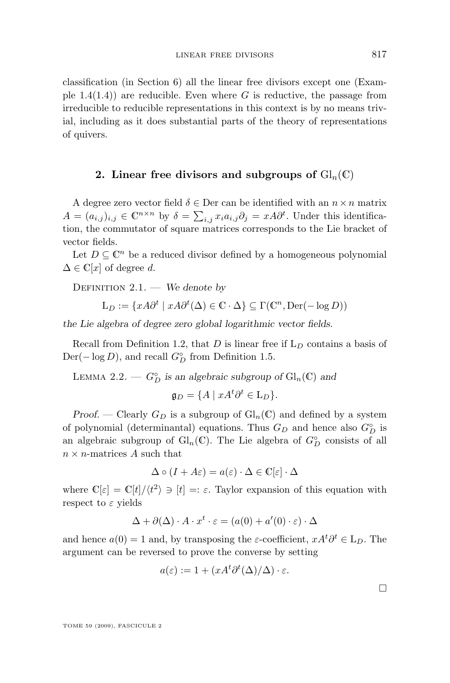<span id="page-7-0"></span>classification (in Section [6\)](#page-22-0) all the linear free divisors except one (Example  $1.4(1.4)$  are reducible. Even where G is reductive, the passage from irreducible to reducible representations in this context is by no means trivial, including as it does substantial parts of the theory of representations of quivers.

#### **2.** Linear free divisors and subgroups of  $\text{Gl}_n(\mathbb{C})$

A degree zero vector field  $\delta \in \text{Der}$  can be identified with an  $n \times n$  matrix  $A = (a_{i,j})_{i,j} \in \mathbb{C}^{n \times n}$  by  $\delta = \sum_{i,j} x_i a_{i,j} \partial_j = x A \partial^t$ . Under this identification, the commutator of square matrices corresponds to the Lie bracket of vector fields.

Let  $D \subseteq \mathbb{C}^n$  be a reduced divisor defined by a homogeneous polynomial  $\Delta \in \mathbb{C}[x]$  of degree d.

Definition 2.1. — *We denote by*

$$
\mathcal{L}_D := \{ x A \partial^t \mid x A \partial^t(\Delta) \in \mathbb{C} \cdot \Delta \} \subseteq \Gamma(\mathbb{C}^n, \mathrm{Der}(-\log D))
$$

*the Lie algebra of degree zero global logarithmic vector fields.*

Recall from Definition [1.2,](#page-2-0) that D is linear free if  $L_D$  contains a basis of  $Der(-\log D)$ , and recall  $G_D^{\circ}$  from Definition [1.5.](#page-4-0)

LEMMA 2.2. —  $G_{D}^{\circ}$  is an algebraic subgroup of  $Gl_n(\mathbb{C})$  and

$$
\mathfrak{g}_D = \{ A \mid xA^t \partial^t \in \mathcal{L}_D \}.
$$

*Proof.* — Clearly  $G_D$  is a subgroup of  $\mathrm{Gl}_n(\mathbb{C})$  and defined by a system of polynomial (determinantal) equations. Thus  $G_D$  and hence also  $G_D^{\circ}$  is an algebraic subgroup of  $\mathrm{Gl}_n(\mathbb{C})$ . The Lie algebra of  $G_D^{\circ}$  consists of all  $n \times n$ -matrices A such that

$$
\Delta \circ (I + A\varepsilon) = a(\varepsilon) \cdot \Delta \in \mathbb{C}[\varepsilon] \cdot \Delta
$$

where  $\mathbb{C}[\varepsilon] = \mathbb{C}[t]/\langle t^2 \rangle \ni [t] =: \varepsilon$ . Taylor expansion of this equation with respect to  $\varepsilon$  yields

$$
\Delta + \partial(\Delta) \cdot A \cdot x^t \cdot \varepsilon = (a(0) + a'(0) \cdot \varepsilon) \cdot \Delta
$$

and hence  $a(0) = 1$  and, by transposing the  $\varepsilon$ -coefficient,  $xA<sup>t</sup>\partial^t \in L_D$ . The argument can be reversed to prove the converse by setting

$$
a(\varepsilon) := 1 + (xA^t \partial^t(\Delta)/\Delta) \cdot \varepsilon.
$$

 $\Box$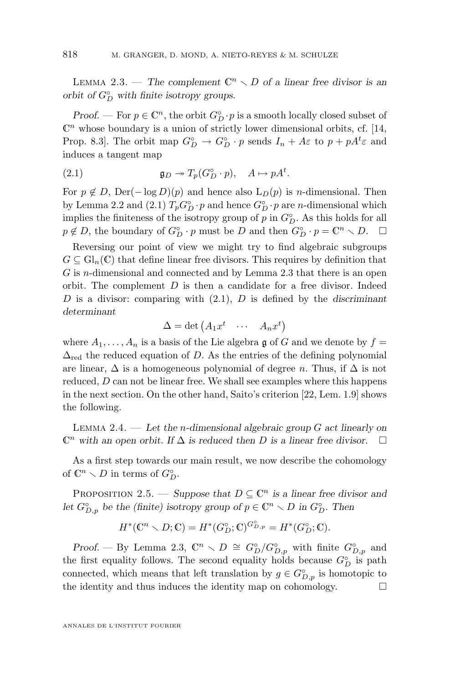<span id="page-8-0"></span>LEMMA 2.3. — The complement  $\mathbb{C}^n \setminus D$  of a linear free divisor is an *orbit of*  $G_D^{\circ}$  *with finite isotropy groups.* 

*Proof.* — For  $p \in \mathbb{C}^n$ , the orbit  $G^{\circ}_D \cdot p$  is a smooth locally closed subset of  $\mathbb{C}^n$  whose boundary is a union of strictly lower dimensional orbits, cf. [\[14,](#page-39-0) Prop. 8.3. The orbit map  $G_D^{\circ} \to G_D^{\circ} \cdot p$  sends  $I_n + A\varepsilon$  to  $p + pA^t \varepsilon$  and induces a tangent map

(2.1) 
$$
\mathfrak{g}_D \twoheadrightarrow T_p(G_D^\circ \cdot p), \quad A \mapsto pA^t.
$$

For  $p \notin D$ , Der( $-\log D(p)$  and hence also  $L_D(p)$  is *n*-dimensional. Then by Lemma [2.2](#page-7-0) and (2.1)  $T_p G^{\circ}_{D} \cdot p$  and hence  $G^{\circ}_{D} \cdot p$  are *n*-dimensional which implies the finiteness of the isotropy group of  $p$  in  $G_D^{\circ}$ . As this holds for all  $p \notin D$ , the boundary of  $G_D^{\circ} \cdot p$  must be D and then  $G_D^{\circ} \cdot p = \mathbb{C}^n \setminus D$ .  $\Box$ 

Reversing our point of view we might try to find algebraic subgroups  $G \subseteq \mathrm{Gl}_n(\mathbb{C})$  that define linear free divisors. This requires by definition that  $G$  is *n*-dimensional and connected and by Lemma [2.3](#page-7-0) that there is an open orbit. The complement  $D$  is then a candidate for a free divisor. Indeed D is a divisor: comparing with (2.1), D is defined by the *discriminant determinant*

$$
\Delta = \det \begin{pmatrix} A_1 x^t & \cdots & A_n x^t \end{pmatrix}
$$

where  $A_1, \ldots, A_n$  is a basis of the Lie algebra g of G and we denote by  $f =$  $\Delta_{\text{red}}$  the reduced equation of D. As the entries of the defining polynomial are linear,  $\Delta$  is a homogeneous polynomial of degree n. Thus, if  $\Delta$  is not reduced, D can not be linear free. We shall see examples where this happens in the next section. On the other hand, Saito's criterion [\[22,](#page-39-0) Lem. 1.9] shows the following.

Lemma 2.4. — *Let the* n*-dimensional algebraic group* G *act linearly on*  $\mathbb{C}^n$  with an open orbit. If  $\Delta$  *is reduced then* D *is a linear free divisor.*  $\Box$ 

As a first step towards our main result, we now describe the cohomology of  $\mathbb{C}^n \setminus D$  in terms of  $G_D^{\circ}$ .

PROPOSITION 2.5. — *Suppose that*  $D \subseteq \mathbb{C}^n$  *is a linear free divisor and let*  $G_{D,p}^{\circ}$  *be the (finite) isotropy group of*  $p \in \mathbb{C}^n \setminus D$  *in*  $G_D^{\circ}$ *. Then* 

$$
H^*(\mathbb{C}^n \setminus D; \mathbb{C}) = H^*(G_D^{\circ}; \mathbb{C})^{G_{D,p}^{\circ}} = H^*(G_D^{\circ}; \mathbb{C}).
$$

*Proof.* — By Lemma [2.3,](#page-7-0)  $\mathbb{C}^n \setminus D \cong G_D^{\circ}/G_{D,p}^{\circ}$  with finite  $G_{D,p}^{\circ}$  and the first equality follows. The second equality holds because  $G_D^{\circ}$  is path connected, which means that left translation by  $g \in G_{D,p}^{\circ}$  is homotopic to the identity and thus induces the identity map on cohomology.  $\Box$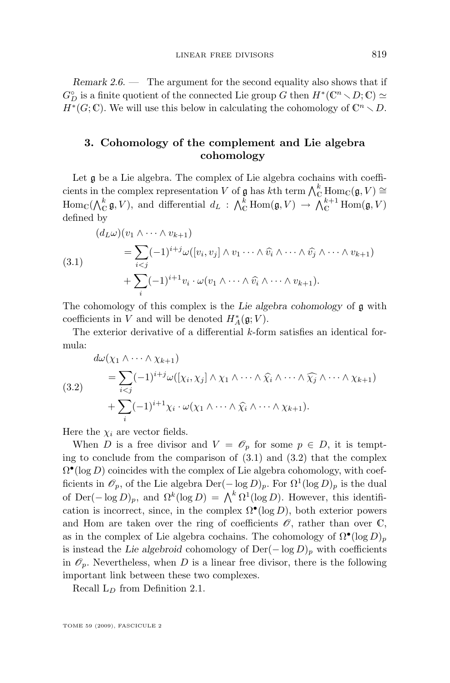<span id="page-9-0"></span>*Remark 2.6. —* The argument for the second equality also shows that if  $G_D^{\circ}$  is a finite quotient of the connected Lie group G then  $H^*(\mathbb{C}^n \smallsetminus D; \mathbb{C}) \simeq$  $H^*(G;\mathbb{C})$ . We will use this below in calculating the cohomology of  $\mathbb{C}^n \setminus D$ .

#### **3. Cohomology of the complement and Lie algebra cohomology**

Let  $\mathfrak g$  be a Lie algebra. The complex of Lie algebra cochains with coefficients in the complex representation V of  $\mathfrak g$  has kth term  $\bigwedge_{\mathbb C}^k \text{Hom}_{\mathbb C}(\mathfrak g,V) \cong$  $\text{Hom}_{\mathbb{C}}(\bigwedge_{\mathbb{C}}^{k} \mathfrak{g}, V)$ , and differential  $d_L : \bigwedge_{\mathbb{C}}^{k} \text{Hom}(\mathfrak{g}, V) \to \bigwedge_{\mathbb{C}}^{k+1} \text{Hom}(\mathfrak{g}, V)$ defined by

$$
(d_L \omega)(v_1 \wedge \cdots \wedge v_{k+1})
$$
  
=  $\sum_{i < j} (-1)^{i+j} \omega([v_i, v_j] \wedge v_1 \cdots \wedge \widehat{v_i} \wedge \cdots \wedge \widehat{v_j} \wedge \cdots \wedge v_{k+1})$   
+  $\sum_i (-1)^{i+1} v_i \cdot \omega(v_1 \wedge \cdots \wedge \widehat{v_i} \wedge \cdots \wedge v_{k+1}).$ 

The cohomology of this complex is the *Lie algebra cohomology* of g with coefficients in V and will be denoted  $H^*_{A}(\mathfrak{g};V)$ .

The exterior derivative of a differential k-form satisfies an identical formula:

$$
\begin{aligned}\n d\omega(\chi_1 \wedge \cdots \wedge \chi_{k+1}) \\
 &= \sum_{i < j} (-1)^{i+j} \omega([\chi_i, \chi_j] \wedge \chi_1 \wedge \cdots \wedge \widehat{\chi_i} \wedge \cdots \wedge \widehat{\chi_j} \wedge \cdots \wedge \chi_{k+1}) \\
 &\quad + \sum_i (-1)^{i+1} \chi_i \cdot \omega(\chi_1 \wedge \cdots \wedge \widehat{\chi_i} \wedge \cdots \wedge \chi_{k+1}).\n \end{aligned}
$$

Here the  $\chi_i$  are vector fields.

When D is a free divisor and  $V = \mathscr{O}_p$  for some  $p \in D$ , it is tempting to conclude from the comparison of  $(3.1)$  and  $(3.2)$  that the complex  $\Omega^{\bullet}(\log D)$  coincides with the complex of Lie algebra cohomology, with coefficients in  $\mathscr{O}_p$ , of the Lie algebra Der(- $\log D$ )<sub>p</sub>. For  $\Omega^1(\log D)_p$  is the dual of Der( $-\log D$ )<sub>p</sub>, and  $\Omega^k(\log D) = \bigwedge^k \Omega^1(\log D)$ . However, this identification is incorrect, since, in the complex  $\Omega^{\bullet}(\log D)$ , both exterior powers and Hom are taken over the ring of coefficients  $\mathscr{O}$ , rather than over  $\mathbb{C}$ , as in the complex of Lie algebra cochains. The cohomology of  $\Omega^{\bullet}(\log D)_p$ is instead the *Lie algebroid* cohomology of  $Der(-\log D)_p$  with coefficients in  $\mathcal{O}_p$ . Nevertheless, when D is a linear free divisor, there is the following important link between these two complexes.

Recall  $L<sub>D</sub>$  from Definition [2.1.](#page-7-0)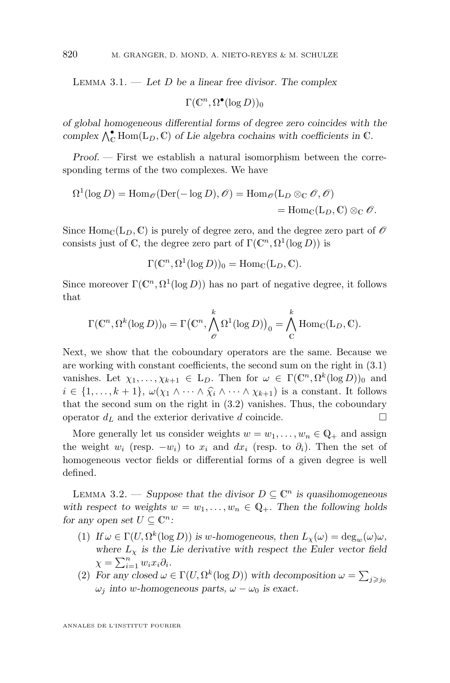<span id="page-10-0"></span>Lemma 3.1. — *Let* D *be a linear free divisor. The complex*

 $\Gamma(\mathbb{C}^n, \Omega^\bullet(\log D))_0$ 

*of global homogeneous differential forms of degree zero coincides with the* complex  $\bigwedge_{\mathbb{C}}^{\bullet}$  Hom $(L_D, \mathbb{C})$  of Lie algebra cochains with coefficients in  $\mathbb{C}$ .

*Proof. —* First we establish a natural isomorphism between the corresponding terms of the two complexes. We have

$$
\Omega^1(\log D) = \text{Hom}_{\mathscr{O}}(\text{Der}(-\log D), \mathscr{O}) = \text{Hom}_{\mathscr{O}}(\mathcal{L}_D \otimes_{\mathbb{C}} \mathscr{O}, \mathscr{O})
$$
  
= 
$$
\text{Hom}_{\mathbb{C}}(\mathcal{L}_D, \mathbb{C}) \otimes_{\mathbb{C}} \mathscr{O}.
$$

Since  $\text{Hom}_{\mathbb{C}}(L_D, \mathbb{C})$  is purely of degree zero, and the degree zero part of  $\mathscr{O}$ consists just of C, the degree zero part of  $\Gamma(\mathbb{C}^n, \Omega^1(\log D))$  is

 $\Gamma(\mathbb{C}^n, \Omega^1(\log D))_0 = \text{Hom}_{\mathbb{C}}(\mathcal{L}_D, \mathbb{C}).$ 

Since moreover  $\Gamma(\mathbb{C}^n, \Omega^1(\log D))$  has no part of negative degree, it follows that

$$
\Gamma(\mathbb{C}^n,\Omega^k(\log D))_0=\Gamma\big(\mathbb{C}^n,\bigwedge_{\mathscr{O}}^k\Omega^1(\log D)\big)_0=\bigwedge_{\mathbb{C}}^k\mathrm{Hom}_{\mathbb{C}}(\mathcal{L}_D,\mathbb{C}).
$$

Next, we show that the coboundary operators are the same. Because we are working with constant coefficients, the second sum on the right in [\(3.1\)](#page-9-0) vanishes. Let  $\chi_1, \ldots, \chi_{k+1} \in L_D$ . Then for  $\omega \in \Gamma(\mathbb{C}^n, \Omega^k(\log D))_0$  and  $i \in \{1, \ldots, k+1\}, \ \omega(\chi_1 \wedge \cdots \wedge \widehat{\chi_i} \wedge \cdots \wedge \chi_{k+1})$  is a constant. It follows that the second sum on the right in [\(3.2\)](#page-9-0) vanishes. Thus, the coboundary operator  $d_L$  and the exterior derivative d coincide.

More generally let us consider weights  $w = w_1, \ldots, w_n \in \mathbb{Q}_+$  and assign the weight  $w_i$  (resp.  $-w_i$ ) to  $x_i$  and  $dx_i$  (resp. to  $\partial_i$ ). Then the set of homogeneous vector fields or differential forms of a given degree is well defined.

LEMMA 3.2. — Suppose that the divisor  $D \subseteq \mathbb{C}^n$  is quasihomogeneous with respect to weights  $w = w_1, \ldots, w_n \in \mathbb{Q}_+$ . Then the following holds *for any open set*  $U \subseteq \mathbb{C}^n$ *:* 

- (1) If  $\omega \in \Gamma(U, \Omega^k(\log D))$  is w-homogeneous, then  $L_{\chi}(\omega) = \deg_w(\omega)\omega$ , where  $L<sub>x</sub>$  *is the Lie derivative with respect the Euler vector field*  $\chi = \sum_{i=1}^n w_i x_i \partial_i.$
- (2) For any closed  $\omega \in \Gamma(U, \Omega^k(\log D))$  with decomposition  $\omega = \sum_{j \geq j_0}$  $\omega_j$  *into* w-homogeneous parts,  $\omega - \omega_0$  *is exact.*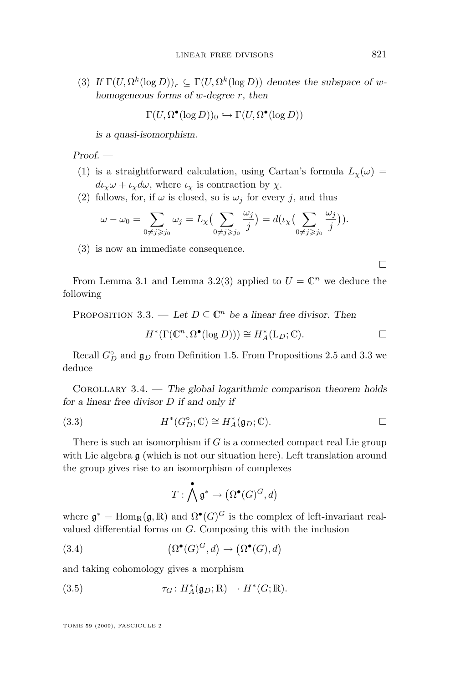<span id="page-11-0"></span>(3) *If*  $\Gamma(U, \Omega^k(\log D))_r \subseteq \Gamma(U, \Omega^k(\log D))$  *denotes the subspace of whomogeneous forms of* w*-degree* r*, then*

$$
\Gamma(U, \Omega^{\bullet}(\log D))_0 \hookrightarrow \Gamma(U, \Omega^{\bullet}(\log D))
$$

*is a quasi-isomorphism.*

*Proof. —*

- (1) is a straightforward calculation, using Cartan's formula  $L_{\chi}(\omega)$  =  $d\iota_{\chi}\omega + \iota_{\chi}d\omega$ , where  $\iota_{\chi}$  is contraction by  $\chi$ .
- (2) follows, for, if  $\omega$  is closed, so is  $\omega_j$  for every j, and thus

$$
\omega - \omega_0 = \sum_{0 \neq j \geq j_0} \omega_j = L_{\chi} \Big( \sum_{0 \neq j \geq j_0} \frac{\omega_j}{j} \Big) = d\big(\iota_{\chi} \Big( \sum_{0 \neq j \geq j_0} \frac{\omega_j}{j} \Big) \big).
$$

(3) is now an immediate consequence.

From Lemma [3.1](#page-9-0) and Lemma [3.2\(](#page-10-0)3) applied to  $U = \mathbb{C}^n$  we deduce the following

PROPOSITION 3.3. — Let  $D \subseteq \mathbb{C}^n$  be a linear free divisor. Then

$$
H^*(\Gamma(\mathbb{C}^n, \Omega^\bullet(\log D))) \cong H^*_A(\mathcal{L}_D; \mathbb{C}). \square
$$

Recall  $G_{D}^{\circ}$  and  $\mathfrak{g}_{D}$  from Definition [1.5.](#page-4-0) From Propositions [2.5](#page-8-0) and 3.3 we deduce

Corollary 3.4. — *The global logarithmic comparison theorem holds for a linear free divisor* D *if and only if*

(3.3) 
$$
H^*(G_D^\circ; \mathbb{C}) \cong H_A^*(\mathfrak{g}_D; \mathbb{C}).
$$

There is such an isomorphism if  $G$  is a connected compact real Lie group with Lie algebra  $\mathfrak g$  (which is not our situation here). Left translation around the group gives rise to an isomorphism of complexes

$$
T:\bigwedge^{\bullet} \mathfrak{g}^* \to \left(\Omega^{\bullet}(G)^G, d\right)
$$

where  $\mathfrak{g}^* = \text{Hom}_{\mathbb{R}}(\mathfrak{g}, \mathbb{R})$  and  $\Omega^{\bullet}(G)^G$  is the complex of left-invariant realvalued differential forms on G. Composing this with the inclusion

(3.4) 
$$
(\Omega^{\bullet}(G)^G, d) \to (\Omega^{\bullet}(G), d)
$$

and taking cohomology gives a morphism

(3.5) 
$$
\tau_G \colon H_A^*(\mathfrak{g}_D;\mathbb{R}) \to H^*(G;\mathbb{R}).
$$

TOME 59 (2009), FASCICULE 2

 $\Box$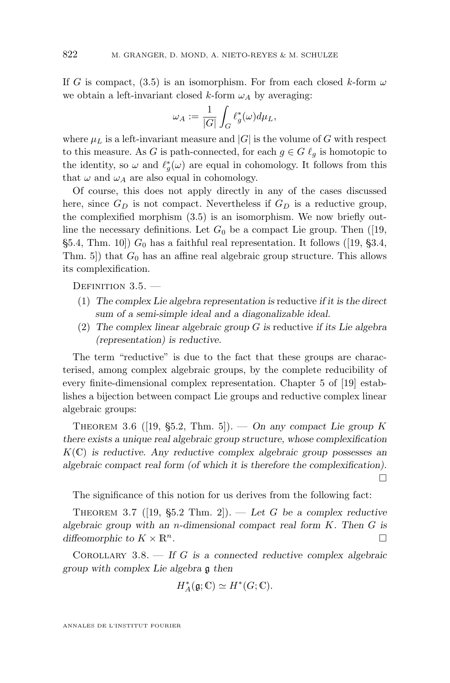<span id="page-12-0"></span>If G is compact, [\(3.5\)](#page-11-0) is an isomorphism. For from each closed k-form  $\omega$ we obtain a left-invariant closed k-form  $\omega_A$  by averaging:

$$
\omega_A := \frac{1}{|G|} \int_G \ell_g^*(\omega) d\mu_L,
$$

where  $\mu_L$  is a left-invariant measure and  $|G|$  is the volume of G with respect to this measure. As G is path-connected, for each  $g \in G \ell_q$  is homotopic to the identity, so  $\omega$  and  $\ell_g^*(\omega)$  are equal in cohomology. It follows from this that  $\omega$  and  $\omega_A$  are also equal in cohomology.

Of course, this does not apply directly in any of the cases discussed here, since  $G_D$  is not compact. Nevertheless if  $G_D$  is a reductive group, the complexified morphism [\(3.5\)](#page-11-0) is an isomorphism. We now briefly outline the necessary definitions. Let  $G_0$  be a compact Lie group. Then ([\[19,](#page-39-0) §5.4, Thm. 10])  $G_0$  has a faithful real representation. It follows ([\[19,](#page-39-0) §3.4, Thm. 5) that  $G_0$  has an affine real algebraic group structure. This allows its complexification.

DEFINITION 3.5. -

- (1) *The complex Lie algebra representation is* reductive *if it is the direct sum of a semi-simple ideal and a diagonalizable ideal.*
- (2) *The complex linear algebraic group* G *is* reductive *if its Lie algebra (representation) is reductive.*

The term "reductive" is due to the fact that these groups are characterised, among complex algebraic groups, by the complete reducibility of every finite-dimensional complex representation. Chapter 5 of [\[19\]](#page-39-0) establishes a bijection between compact Lie groups and reductive complex linear algebraic groups:

THEOREM 3.6 ([\[19,](#page-39-0) §5.2, Thm. 5]). — On any compact Lie group K *there exists a unique real algebraic group structure, whose complexification* K(C) *is reductive. Any reductive complex algebraic group possesses an algebraic compact real form (of which it is therefore the complexification).*  $\Box$ 

The significance of this notion for us derives from the following fact:

THEOREM 3.7 ([\[19,](#page-39-0)  $\S5.2$  Thm. 2]). — Let G be a complex reductive *algebraic group with an* n*-dimensional compact real form* K*. Then* G *is diffeomorphic to*  $K \times \mathbb{R}^n$ .

Corollary 3.8. — *If* G *is a connected reductive complex algebraic group with complex Lie algebra* g *then*

$$
H^*_{A}(\mathfrak{g};\mathbb{C})\simeq H^*(G;\mathbb{C}).
$$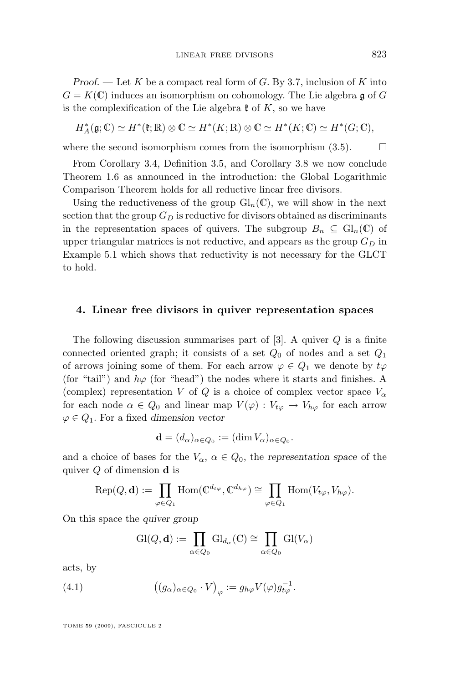<span id="page-13-0"></span>*Proof.* — Let K be a compact real form of G. By [3.7,](#page-12-0) inclusion of K into  $G = K(\mathbb{C})$  induces an isomorphism on cohomology. The Lie algebra g of G is the complexification of the Lie algebra  $\mathfrak k$  of K, so we have

$$
H_A^*(\mathfrak{g};\mathbb{C}) \simeq H^*(\mathfrak{k};\mathbb{R}) \otimes \mathbb{C} \simeq H^*(K;\mathbb{R}) \otimes \mathbb{C} \simeq H^*(K;\mathbb{C}) \simeq H^*(G;\mathbb{C}),
$$

where the second isomorphism comes from the isomorphism  $(3.5)$ .  $\Box$ 

From Corollary [3.4,](#page-11-0) Definition [3.5,](#page-12-0) and Corollary [3.8](#page-12-0) we now conclude Theorem [1.6](#page-4-0) as announced in the introduction: the Global Logarithmic Comparison Theorem holds for all reductive linear free divisors.

Using the reductiveness of the group  $\mathrm{Gl}_n(\mathbb{C})$ , we will show in the next section that the group  $G_D$  is reductive for divisors obtained as discriminants in the representation spaces of quivers. The subgroup  $B_n \subseteq \mathrm{Gl}_n(\mathbb{C})$  of upper triangular matrices is not reductive, and appears as the group  $G_D$  in Example [5.1](#page-15-0) which shows that reductivity is not necessary for the GLCT to hold.

#### **4. Linear free divisors in quiver representation spaces**

The following discussion summarises part of  $[3]$ . A quiver  $Q$  is a finite connected oriented graph; it consists of a set  $Q_0$  of nodes and a set  $Q_1$ of arrows joining some of them. For each arrow  $\varphi \in Q_1$  we denote by  $t\varphi$ (for "tail") and  $h\varphi$  (for "head") the nodes where it starts and finishes. A (complex) representation V of Q is a choice of complex vector space  $V_{\alpha}$ for each node  $\alpha \in Q_0$  and linear map  $V(\varphi): V_{t\varphi} \to V_{h\varphi}$  for each arrow  $\varphi \in Q_1$ . For a fixed *dimension vector* 

$$
\mathbf{d} = (d_{\alpha})_{\alpha \in Q_0} := (\dim V_{\alpha})_{\alpha \in Q_0}.
$$

and a choice of bases for the  $V_{\alpha}$ ,  $\alpha \in Q_0$ , the *representation space* of the quiver  $Q$  of dimension **d** is

$$
Rep(Q, \mathbf{d}) := \prod_{\varphi \in Q_1} Hom(\mathbb{C}^{d_{t\varphi}}, \mathbb{C}^{d_{h\varphi}}) \cong \prod_{\varphi \in Q_1} Hom(V_{t\varphi}, V_{h\varphi}).
$$

On this space the *quiver group*

$$
\mathrm{Gl}(Q,\mathbf{d}) := \prod_{\alpha \in Q_0} \mathrm{Gl}_{d_\alpha}(\mathbb{C}) \cong \prod_{\alpha \in Q_0} \mathrm{Gl}(V_\alpha)
$$

acts, by

(4.1) 
$$
\left( (g_{\alpha})_{\alpha \in Q_0} \cdot V \right)_{\varphi} := g_{h\varphi} V(\varphi) g_{t\varphi}^{-1}.
$$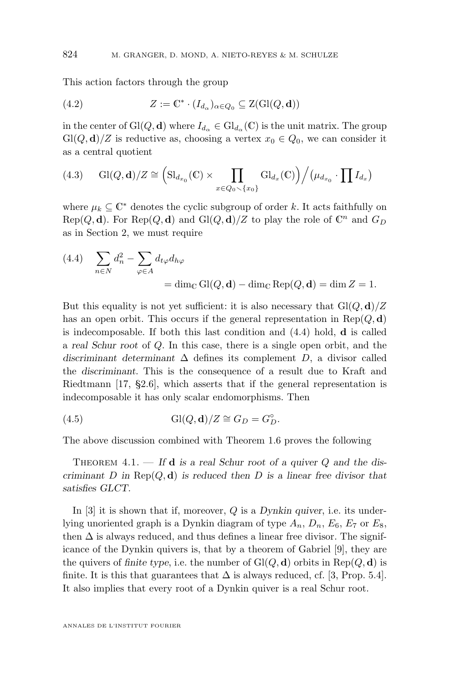This action factors through the group

(4.2) 
$$
Z := \mathbb{C}^* \cdot (I_{d_{\alpha}})_{\alpha \in Q_0} \subseteq Z(\mathrm{Gl}(Q,\mathbf{d}))
$$

in the center of  $Gl(Q, d)$  where  $I_{d_{\alpha}} \in Gl_{d_{\alpha}}(\mathbb{C})$  is the unit matrix. The group  $Gl(Q, d)/Z$  is reductive as, choosing a vertex  $x_0 \in Q_0$ , we can consider it as a central quotient

(4.3) 
$$
Gl(Q, d)/Z \cong \left( Sl_{d_{x_0}}(\mathbb{C}) \times \prod_{x \in Q_0 \setminus \{x_0\}} Gl_{d_x}(\mathbb{C}) \right) / (\mu_{d_{x_0}} \cdot \prod I_{d_x})
$$

where  $\mu_k \subseteq \mathbb{C}^*$  denotes the cyclic subgroup of order k. It acts faithfully on  $\text{Rep}(Q, \mathbf{d})$ . For  $\text{Rep}(Q, \mathbf{d})$  and  $\text{Gl}(Q, \mathbf{d})/Z$  to play the role of  $\mathbb{C}^n$  and  $G_D$ as in Section [2,](#page-7-0) we must require

(4.4) 
$$
\sum_{n \in N} d_n^2 - \sum_{\varphi \in A} d_{t\varphi} d_{h\varphi}
$$

$$
= \dim_{\mathbb{C}} Gl(Q, \mathbf{d}) - \dim_{\mathbb{C}} Rep(Q, \mathbf{d}) = \dim Z = 1.
$$

But this equality is not yet sufficient: it is also necessary that  $Gl(Q, d)/Z$ has an open orbit. This occurs if the general representation in  $\text{Rep}(Q, \mathbf{d})$ is indecomposable. If both this last condition and  $(4.4)$  hold, **d** is called a *real Schur root* of Q. In this case, there is a single open orbit, and the *discriminant determinant* ∆ defines its complement D, a divisor called the *discriminant*. This is the consequence of a result due to Kraft and Riedtmann [\[17,](#page-39-0) §2.6], which asserts that if the general representation is indecomposable it has only scalar endomorphisms. Then

(4.5) 
$$
Gl(Q, d)/Z \cong G_D = G_D^{\circ}.
$$

The above discussion combined with Theorem [1.6](#page-4-0) proves the following

THEOREM 4.1. — If **d** is a real Schur root of a quiver Q and the dis*criminant* D *in* Rep(Q, d) *is reduced then* D *is a linear free divisor that satisfies GLCT.*

In [\[3\]](#page-38-0) it is shown that if, moreover, Q is a *Dynkin quiver*, i.e. its underlying unoriented graph is a Dynkin diagram of type  $A_n$ ,  $D_n$ ,  $E_6$ ,  $E_7$  or  $E_8$ , then  $\Delta$  is always reduced, and thus defines a linear free divisor. The significance of the Dynkin quivers is, that by a theorem of Gabriel [\[9\]](#page-39-0), they are the quivers of *finite type*, i.e. the number of  $Gl(Q, d)$  orbits in  $Rep(Q, d)$  is finite. It is this that guarantees that  $\Delta$  is always reduced, cf. [\[3,](#page-38-0) Prop. 5.4]. It also implies that every root of a Dynkin quiver is a real Schur root.

<span id="page-14-0"></span>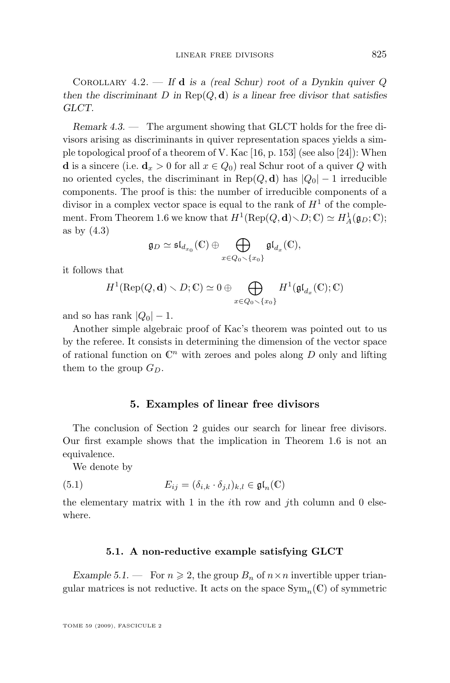<span id="page-15-0"></span>Corollary 4.2. — *If* d *is a (real Schur) root of a Dynkin quiver* Q *then the discriminant*  $D$  *in*  $\text{Rep}(Q, \mathbf{d})$  *is a linear free divisor that satisfies GLCT.*

*Remark 4.3. —* The argument showing that GLCT holds for the free divisors arising as discriminants in quiver representation spaces yields a simple topological proof of a theorem of V. Kac [\[16,](#page-39-0) p. 153] (see also [\[24\]](#page-39-0)): When **d** is a sincere (i.e.  $\mathbf{d}_x > 0$  for all  $x \in Q_0$ ) real Schur root of a quiver Q with no oriented cycles, the discriminant in  $\text{Rep}(Q, d)$  has  $|Q_0| - 1$  irreducible components. The proof is this: the number of irreducible components of a divisor in a complex vector space is equal to the rank of  $H<sup>1</sup>$  of the comple-ment. From Theorem [1.6](#page-4-0) we know that  $H^1(\text{Rep}(Q, \mathbf{d}) \setminus D; \mathbb{C}) \simeq H^1_A(\mathfrak{g}_D; \mathbb{C});$ as by [\(4.3\)](#page-14-0)

$$
\mathfrak{g}_D \simeq \mathfrak{sl}_{d_{x_0}}(\mathbb{C}) \oplus \bigoplus_{x \in Q_0 \setminus \{x_0\}} \mathfrak{gl}_{d_x}(\mathbb{C}),
$$

it follows that

$$
H^1(\mathrm{Rep}(Q,\mathbf{d})\smallsetminus D;\mathbb{C})\simeq 0\oplus \bigoplus_{x\in Q_0\smallsetminus\{x_0\}}H^1(\mathfrak{gl}_{d_x}(\mathbb{C});\mathbb{C})
$$

and so has rank  $|Q_0| - 1$ .

Another simple algebraic proof of Kac's theorem was pointed out to us by the referee. It consists in determining the dimension of the vector space of rational function on  $\mathbb{C}^n$  with zeroes and poles along D only and lifting them to the group  $G_D$ .

#### **5. Examples of linear free divisors**

The conclusion of Section [2](#page-7-0) guides our search for linear free divisors. Our first example shows that the implication in Theorem [1.6](#page-4-0) is not an equivalence.

We denote by

(5.1) 
$$
E_{ij} = (\delta_{i,k} \cdot \delta_{j,l})_{k,l} \in \mathfrak{gl}_n(\mathbb{C})
$$

the elementary matrix with 1 in the  $i$ th row and  $j$ th column and 0 elsewhere.

#### **5.1. A non-reductive example satisfying GLCT**

*Example 5.1.* — For  $n \ge 2$ , the group  $B_n$  of  $n \times n$  invertible upper triangular matrices is not reductive. It acts on the space  $\text{Sym}_n(\mathbb{C})$  of symmetric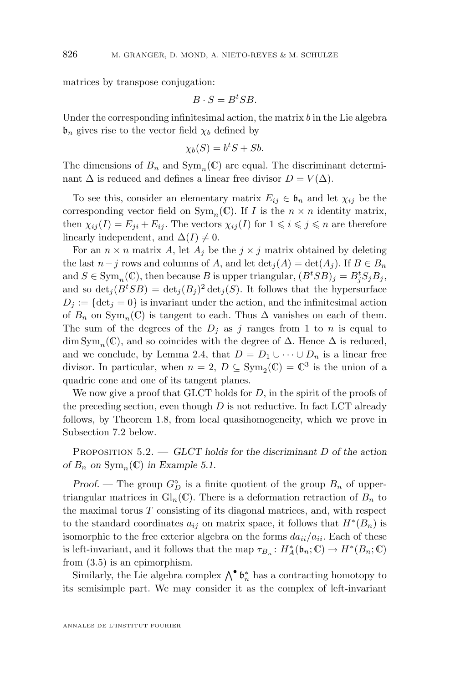<span id="page-16-0"></span>matrices by transpose conjugation:

$$
B \cdot S = B^t S B.
$$

Under the corresponding infinitesimal action, the matrix  $b$  in the Lie algebra  $\mathfrak{b}_n$  gives rise to the vector field  $\chi_b$  defined by

$$
\chi_b(S) = b^t S + S b.
$$

The dimensions of  $B_n$  and  $Sym_n(\mathbb{C})$  are equal. The discriminant determinant  $\Delta$  is reduced and defines a linear free divisor  $D = V(\Delta)$ .

To see this, consider an elementary matrix  $E_{ij} \in \mathfrak{b}_n$  and let  $\chi_{ij}$  be the corresponding vector field on  $Sym_n(\mathbb{C})$ . If I is the  $n \times n$  identity matrix, then  $\chi_{ii}(I) = E_{ii} + E_{ij}$ . The vectors  $\chi_{ii}(I)$  for  $1 \leq i \leq j \leq n$  are therefore linearly independent, and  $\Delta(I) \neq 0$ .

For an  $n \times n$  matrix A, let  $A_j$  be the  $j \times j$  matrix obtained by deleting the last  $n-j$  rows and columns of A, and let  $\det_i(A) = \det(A_i)$ . If  $B \in B_n$ and  $S \in \text{Sym}_n(\mathbb{C})$ , then because B is upper triangular,  $(B^tSB)_j = B^t_jS_jB_j$ , and so  $\det_j(B^tSB) = \det_j(B_j)^2 \det_j(S)$ . It follows that the hypersurface  $D_i := \{ \det_i = 0 \}$  is invariant under the action, and the infinitesimal action of  $B_n$  on  $\text{Sym}_n(\mathbb{C})$  is tangent to each. Thus  $\Delta$  vanishes on each of them. The sum of the degrees of the  $D_j$  as j ranges from 1 to n is equal to dim  $Sym_n(\mathbb{C})$ , and so coincides with the degree of  $\Delta$ . Hence  $\Delta$  is reduced, and we conclude, by Lemma [2.4,](#page-8-0) that  $D = D_1 \cup \cdots \cup D_n$  is a linear free divisor. In particular, when  $n = 2$ ,  $D \subseteq Sym_2(\mathbb{C}) = \mathbb{C}^3$  is the union of a quadric cone and one of its tangent planes.

We now give a proof that GLCT holds for  $D$ , in the spirit of the proofs of the preceding section, even though  $D$  is not reductive. In fact LCT already follows, by Theorem [1.8,](#page-5-0) from local quasihomogeneity, which we prove in Subsection [7.2](#page-35-0) below.

Proposition 5.2. — *GLCT holds for the discriminant* D *of the action of*  $B_n$  *on*  $Sym_n(\mathbb{C})$  *in Example* [5.1.](#page-15-0)

*Proof.* — The group  $G_D^{\circ}$  is a finite quotient of the group  $B_n$  of uppertriangular matrices in  $\mathrm{Gl}_n(\mathbb{C})$ . There is a deformation retraction of  $B_n$  to the maximal torus  $T$  consisting of its diagonal matrices, and, with respect to the standard coordinates  $a_{ij}$  on matrix space, it follows that  $H^*(B_n)$  is isomorphic to the free exterior algebra on the forms  $da_{ii}/a_{ii}$ . Each of these is left-invariant, and it follows that the map  $\tau_{B_n}: H_A^*(\mathfrak{b}_n; \mathbb{C}) \to H^*(B_n; \mathbb{C})$ from [\(3.5\)](#page-11-0) is an epimorphism.

Similarly, the Lie algebra complex  $\bigwedge^{\bullet} \mathfrak{b}_n^*$  has a contracting homotopy to its semisimple part. We may consider it as the complex of left-invariant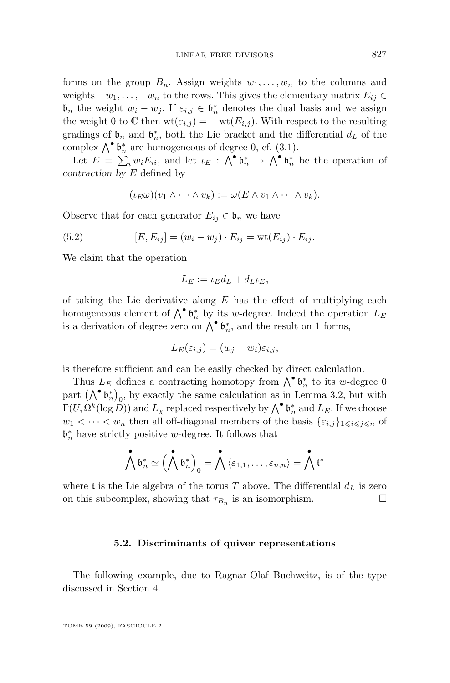<span id="page-17-0"></span>forms on the group  $B_n$ . Assign weights  $w_1, \ldots, w_n$  to the columns and weights  $-w_1, \ldots, -w_n$  to the rows. This gives the elementary matrix  $E_{ij} \in$  $\mathfrak{b}_n$  the weight  $w_i - w_j$ . If  $\varepsilon_{i,j} \in \mathfrak{b}_n^*$  denotes the dual basis and we assign the weight 0 to C then  $\text{wt}(\varepsilon_{i,j}) = -\text{wt}(E_{i,j})$ . With respect to the resulting gradings of  $\mathfrak{b}_n$  and  $\mathfrak{b}_n^*$ , both the Lie bracket and the differential  $d_L$  of the complex  $\bigwedge^{\bullet} \mathfrak{b}^*_n$  are homogeneous of degree 0, cf. [\(3.1\)](#page-9-0).

Let  $E = \sum_i w_i E_{ii}$ , and let  $\iota_E : \bigwedge^{\bullet} \mathfrak{b}_n^* \to \bigwedge^{\bullet} \mathfrak{b}_n^*$  be the operation of *contraction by* E defined by

$$
(\iota_E \omega)(v_1 \wedge \cdots \wedge v_k) := \omega(E \wedge v_1 \wedge \cdots \wedge v_k).
$$

Observe that for each generator  $E_{ij} \in \mathfrak{b}_n$  we have

(5.2) 
$$
[E, E_{ij}] = (w_i - w_j) \cdot E_{ij} = \text{wt}(E_{ij}) \cdot E_{ij}.
$$

We claim that the operation

$$
L_E := \iota_E d_L + d_L \iota_E,
$$

of taking the Lie derivative along  $E$  has the effect of multiplying each homogeneous element of  $\bigwedge^{\bullet} \mathfrak{b}_n^*$  by its w-degree. Indeed the operation  $L_E$ is a derivation of degree zero on  $\bigwedge^{\bullet} \mathfrak{b}^*_n$ , and the result on 1 forms,

$$
L_E(\varepsilon_{i,j}) = (w_j - w_i)\varepsilon_{i,j},
$$

is therefore sufficient and can be easily checked by direct calculation.

Thus  $L_E$  defines a contracting homotopy from  $\bigwedge^{\bullet} \mathfrak{b}_n^*$  to its w-degree 0 part  $(\bigwedge^{\bullet} \mathfrak{b}_{n}^{*})_{0}$ , by exactly the same calculation as in Lemma [3.2,](#page-10-0) but with  $\Gamma(U,\Omega^k(\log D))$  and  $L_\chi$  replaced respectively by  $\bigwedge^\bullet \mathfrak{b}_n^*$  and  $L_E$ . If we choose  $w_1 < \cdots < w_n$  then all off-diagonal members of the basis  $\{\varepsilon_{i,j}\}_{1 \leqslant i \leqslant j \leqslant n}$  of  $\mathfrak{b}_n^*$  have strictly positive w-degree. It follows that

$$
\bigwedge^\bullet \mathfrak{b}_n^* \simeq \Bigl(\bigwedge^\bullet \mathfrak{b}_n^*\Bigr)_0 = \bigwedge^\bullet \langle \varepsilon_{1,1}, \ldots, \varepsilon_{n,n} \rangle = \bigwedge^\bullet \mathfrak{t}^*
$$

where t is the Lie algebra of the torus  $T$  above. The differential  $d_L$  is zero on this subcomplex, showing that  $\tau_{B_n}$  is an isomorphism.  $\Box$ 

#### **5.2. Discriminants of quiver representations**

The following example, due to Ragnar-Olaf Buchweitz, is of the type discussed in Section [4.](#page-13-0)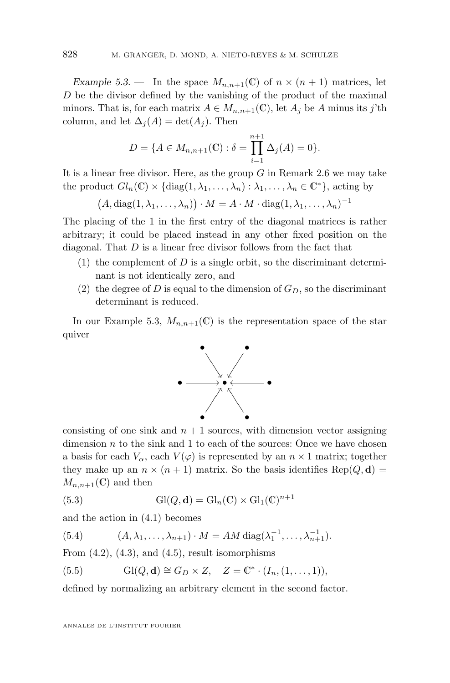<span id="page-18-0"></span>*Example 5.3.* — In the space  $M_{n,n+1}(\mathbb{C})$  of  $n \times (n+1)$  matrices, let D be the divisor defined by the vanishing of the product of the maximal minors. That is, for each matrix  $A \in M_{n,n+1}(\mathbb{C})$ , let  $A_i$  be A minus its j'th column, and let  $\Delta_i(A) = \det(A_i)$ . Then

$$
D = \{ A \in M_{n,n+1}(\mathbb{C}) : \delta = \prod_{i=1}^{n+1} \Delta_j(A) = 0 \}.
$$

It is a linear free divisor. Here, as the group  $G$  in Remark [2.6](#page-8-0) we may take the product  $Gl_n(\mathbb{C}) \times {\text{diag}(1, \lambda_1, \ldots, \lambda_n) : \lambda_1, \ldots, \lambda_n \in \mathbb{C}^*},$  acting by

 $(A, \text{diag}(1, \lambda_1, \ldots, \lambda_n)) \cdot M = A \cdot M \cdot \text{diag}(1, \lambda_1, \ldots, \lambda_n)^{-1}$ 

The placing of the 1 in the first entry of the diagonal matrices is rather arbitrary; it could be placed instead in any other fixed position on the diagonal. That  $D$  is a linear free divisor follows from the fact that

- (1) the complement of  $D$  is a single orbit, so the discriminant determinant is not identically zero, and
- (2) the degree of D is equal to the dimension of  $G_D$ , so the discriminant determinant is reduced.

In our Example [5.3,](#page-17-0)  $M_{n,n+1}(\mathbb{C})$  is the representation space of the star quiver



consisting of one sink and  $n + 1$  sources, with dimension vector assigning dimension  $n$  to the sink and 1 to each of the sources: Once we have chosen a basis for each  $V_{\alpha}$ , each  $V(\varphi)$  is represented by an  $n \times 1$  matrix; together they make up an  $n \times (n + 1)$  matrix. So the basis identifies Rep(Q, d) =  $M_{n,n+1}(\mathbb{C})$  and then

(5.3) 
$$
Gl(Q, d) = Gl_n(\mathbb{C}) \times Gl_1(\mathbb{C})^{n+1}
$$

and the action in [\(4.1\)](#page-13-0) becomes

(5.4) 
$$
(A, \lambda_1, ..., \lambda_{n+1}) \cdot M = AM \operatorname{diag}(\lambda_1^{-1}, ..., \lambda_{n+1}^{-1}).
$$

From  $(4.2)$ ,  $(4.3)$ , and  $(4.5)$ , result isomorphisms

(5.5) 
$$
Gl(Q, d) \cong G_D \times Z, \quad Z = \mathbb{C}^* \cdot (I_n, (1, \dots, 1)),
$$

defined by normalizing an arbitrary element in the second factor.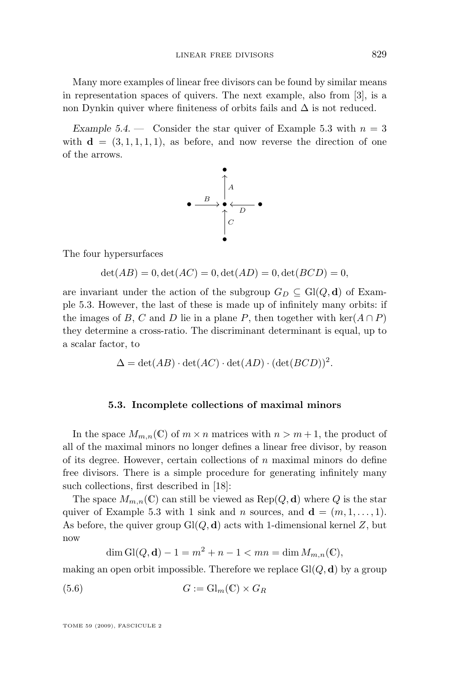Many more examples of linear free divisors can be found by similar means in representation spaces of quivers. The next example, also from [\[3\]](#page-38-0), is a non Dynkin quiver where finiteness of orbits fails and  $\Delta$  is not reduced.

*Example 5.4.* — Consider the star quiver of Example [5.3](#page-17-0) with  $n = 3$ with  $\mathbf{d} = (3, 1, 1, 1, 1)$ , as before, and now reverse the direction of one of the arrows.



The four hypersurfaces

 $\det(AB) = 0, \det(AC) = 0, \det(AD) = 0, \det(BCD) = 0,$ 

are invariant under the action of the subgroup  $G_D \subseteq Gl(Q, d)$  of Example [5.3.](#page-17-0) However, the last of these is made up of infinitely many orbits: if the images of B, C and D lie in a plane P, then together with ker( $A \cap P$ ) they determine a cross-ratio. The discriminant determinant is equal, up to a scalar factor, to

$$
\Delta = \det(AB) \cdot \det(AC) \cdot \det(AD) \cdot (\det(BCD))^2.
$$

#### **5.3. Incomplete collections of maximal minors**

In the space  $M_{m,n}(\mathbb{C})$  of  $m \times n$  matrices with  $n > m+1$ , the product of all of the maximal minors no longer defines a linear free divisor, by reason of its degree. However, certain collections of  $n$  maximal minors do define free divisors. There is a simple procedure for generating infinitely many such collections, first described in [\[18\]](#page-39-0):

The space  $M_{m,n}(\mathbb{C})$  can still be viewed as  $\text{Rep}(Q, d)$  where Q is the star quiver of Example [5.3](#page-17-0) with 1 sink and n sources, and  $\mathbf{d} = (m, 1, \ldots, 1)$ . As before, the quiver group  $Gl(Q, d)$  acts with 1-dimensional kernel Z, but now

$$
\dim Gl(Q, \mathbf{d}) - 1 = m^2 + n - 1 < mn = \dim M_{m,n}(\mathbb{C}),
$$

making an open orbit impossible. Therefore we replace  $Gl(Q, d)$  by a group

(5.6) 
$$
G := \mathrm{Gl}_m(\mathbb{C}) \times G_R
$$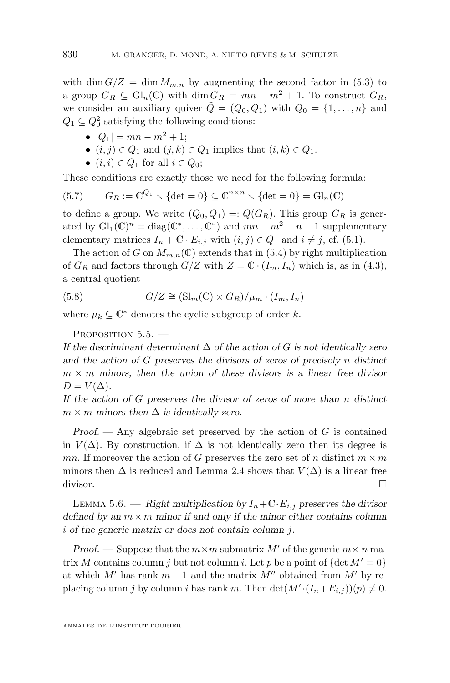<span id="page-20-0"></span>with dim  $G/Z = \dim M_{m,n}$  by augmenting the second factor in [\(5.3\)](#page-18-0) to a group  $G_R \subseteq \mathrm{Gl}_n(\mathbb{C})$  with  $\dim G_R = mn - m^2 + 1$ . To construct  $G_R$ , we consider an auxiliary quiver  $\tilde{Q} = (Q_0, Q_1)$  with  $Q_0 = \{1, \ldots, n\}$  and  $Q_1 \subseteq Q_0^2$  satisfying the following conditions:

- $|Q_1| = mn m^2 + 1;$
- $(i, j) \in Q_1$  and  $(j, k) \in Q_1$  implies that  $(i, k) \in Q_1$ .
- $(i, i) \in Q_1$  for all  $i \in Q_0$ ;

These conditions are exactly those we need for the following formula:

(5.7) 
$$
G_R := \mathbb{C}^{Q_1} \setminus \{\det = 0\} \subseteq \mathbb{C}^{n \times n} \setminus \{\det = 0\} = \mathrm{Gl}_n(\mathbb{C})
$$

to define a group. We write  $(Q_0, Q_1) =: Q(G_R)$ . This group  $G_R$  is generated by  $\mathrm{Gl}_1(\mathbb{C})^n = \mathrm{diag}(\mathbb{C}^*, \dots, \mathbb{C}^*)$  and  $mn - m^2 - n + 1$  supplementary elementary matrices  $I_n + \mathbb{C} \cdot E_{i,j}$  with  $(i, j) \in Q_1$  and  $i \neq j$ , cf. [\(5.1\)](#page-15-0).

The action of G on  $M_{m,n}(\mathbb{C})$  extends that in [\(5.4\)](#page-18-0) by right multiplication of  $G_R$  and factors through  $G/Z$  with  $Z = \mathbb{C} \cdot (I_m, I_n)$  which is, as in [\(4.3\)](#page-14-0), a central quotient

(5.8) 
$$
G/Z \cong (\text{Sl}_{m}(\mathbb{C}) \times G_{R})/\mu_{m} \cdot (I_{m}, I_{n})
$$

where  $\mu_k \subseteq \mathbb{C}^*$  denotes the cyclic subgroup of order k.

PROPOSITION 5.5. -

*If the discriminant determinant* ∆ *of the action of* G *is not identically zero and the action of* G *preserves the divisors of zeros of precisely* n *distinct*  $m \times m$  minors, then the union of these divisors is a linear free divisor  $D = V(\Delta)$ .

*If the action of* G *preserves the divisor of zeros of more than* n *distinct*  $m \times m$  minors then  $\Delta$  *is identically zero.* 

*Proof. —* Any algebraic set preserved by the action of G is contained in  $V(\Delta)$ . By construction, if  $\Delta$  is not identically zero then its degree is mn. If moreover the action of G preserves the zero set of n distinct  $m \times m$ minors then  $\Delta$  is reduced and Lemma [2.4](#page-8-0) shows that  $V(\Delta)$  is a linear free divisor.

LEMMA 5.6. — *Right multiplication by*  $I_n + \mathbb{C} \cdot E_{i,j}$  *preserves the divisor defined by an*  $m \times m$  *minor if and only if the minor either contains column* i *of the generic matrix or does not contain column* j*.*

*Proof.* — Suppose that the  $m \times m$  submatrix M' of the generic  $m \times n$  matrix M contains column j but not column i. Let p be a point of  $\{\det M' = 0\}$ at which  $M'$  has rank  $m - 1$  and the matrix  $M''$  obtained from  $M'$  by replacing column j by column i has rank m. Then  $\det(M'(I_n+E_{i,j}))(p) \neq 0$ .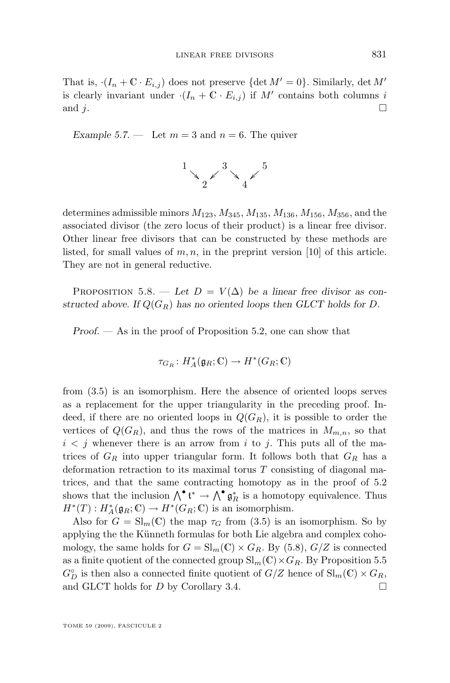That is,  $(I_n + \mathbb{C} \cdot E_{i,j})$  does not preserve  $\{\det M' = 0\}$ . Similarly,  $\det M'$ is clearly invariant under  $(I_n + \mathbb{C} \cdot E_{i,j})$  if  $M'$  contains both columns i and j.

*Example 5.7.* — Let  $m = 3$  and  $n = 6$ . The quiver



determines admissible minors  $M_{123}$ ,  $M_{345}$ ,  $M_{135}$ ,  $M_{136}$ ,  $M_{156}$ ,  $M_{356}$ , and the associated divisor (the zero locus of their product) is a linear free divisor. Other linear free divisors that can be constructed by these methods are listed, for small values of  $m, n$ , in the preprint version [\[10\]](#page-39-0) of this article. They are not in general reductive.

PROPOSITION 5.8. — Let  $D = V(\Delta)$  be a linear free divisor as con*structed above.* If  $Q(G_R)$  has no oriented loops then GLCT holds for D.

*Proof. —* As in the proof of Proposition [5.2,](#page-16-0) one can show that

$$
\tau_{G_R} \colon H_A^*(\mathfrak{g}_R; \mathbb{C}) \to H^*(G_R; \mathbb{C})
$$

from [\(3.5\)](#page-11-0) is an isomorphism. Here the absence of oriented loops serves as a replacement for the upper triangularity in the preceding proof. Indeed, if there are no oriented loops in  $Q(G_R)$ , it is possible to order the vertices of  $Q(G_R)$ , and thus the rows of the matrices in  $M_{m,n}$ , so that  $i < j$  whenever there is an arrow from i to j. This puts all of the matrices of  $G_R$  into upper triangular form. It follows both that  $G_R$  has a deformation retraction to its maximal torus  $T$  consisting of diagonal matrices, and that the same contracting homotopy as in the proof of [5.2](#page-16-0) shows that the inclusion  $\bigwedge^{\bullet} \mathfrak{t}^* \to \bigwedge^{\bullet} \mathfrak{g}_R^*$  is a homotopy equivalence. Thus  $H^*(T): H_A^*(\mathfrak{g}_R;\mathbb{C}) \to H^*(G_R;\mathbb{C})$  is an isomorphism.

Also for  $G = \mathrm{Sl}_m(\mathbb{C})$  the map  $\tau_G$  from [\(3.5\)](#page-11-0) is an isomorphism. So by applying the the Künneth formulas for both Lie algebra and complex cohomology, the same holds for  $G = \mathrm{Sl}_m(\mathbb{C}) \times G_R$ . By [\(5.8\)](#page-20-0),  $G/Z$  is connected as a finite quotient of the connected group  $\text{Sl}_m(\mathbb{C}) \times G_R$ . By Proposition [5.5](#page-20-0)  $G_D^{\circ}$  is then also a connected finite quotient of  $G/Z$  hence of  $\text{Sl}_m(\mathbb{C}) \times G_R$ , and GLCT holds for  $D$  by Corollary [3.4.](#page-11-0)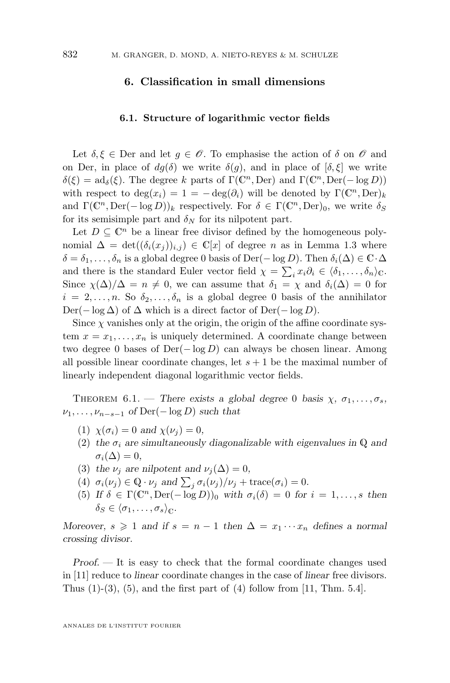#### <span id="page-22-0"></span>**6. Classification in small dimensions**

#### **6.1. Structure of logarithmic vector fields**

Let  $\delta, \xi \in \mathbb{D}$ er and let  $g \in \mathscr{O}$ . To emphasise the action of  $\delta$  on  $\mathscr{O}$  and on Der, in place of  $dq(\delta)$  we write  $\delta(q)$ , and in place of  $[\delta, \xi]$  we write  $\delta(\xi) = \mathrm{ad}_{\delta}(\xi)$ . The degree k parts of  $\Gamma(\mathbb{C}^n, \mathrm{Der})$  and  $\Gamma(\mathbb{C}^n, \mathrm{Der}(-\log D))$ with respect to  $\deg(x_i) = 1 = -\deg(\partial_i)$  will be denoted by  $\Gamma(\mathbb{C}^n, \text{Der})_k$ and  $\Gamma(\mathbb{C}^n, \text{Der}(-\log D))_k$  respectively. For  $\delta \in \Gamma(\mathbb{C}^n, \text{Der})_0$ , we write  $\delta_S$ for its semisimple part and  $\delta_N$  for its nilpotent part.

Let  $D \subseteq \mathbb{C}^n$  be a linear free divisor defined by the homogeneous polynomial  $\Delta = \det((\delta_i(x_i))_{i,i}) \in \mathbb{C}[x]$  of degree *n* as in Lemma [1.3](#page-3-0) where  $\delta = \delta_1, \ldots, \delta_n$  is a global degree 0 basis of Der( $-\log D$ ). Then  $\delta_i(\Delta) \in \mathbb{C} \cdot \Delta$ and there is the standard Euler vector field  $\chi = \sum_i x_i \partial_i \in \langle \delta_1, \ldots, \delta_n \rangle_{\mathbb{C}}$ . Since  $\chi(\Delta)/\Delta = n \neq 0$ , we can assume that  $\delta_1 = \chi$  and  $\delta_i(\Delta) = 0$  for  $i = 2, \ldots, n$ . So  $\delta_2, \ldots, \delta_n$  is a global degree 0 basis of the annihilator Der(− log  $\Delta$ ) of  $\Delta$  which is a direct factor of Der(− log D).

Since  $\chi$  vanishes only at the origin, the origin of the affine coordinate system  $x = x_1, \ldots, x_n$  is uniquely determined. A coordinate change between two degree 0 bases of  $Der(-\log D)$  can always be chosen linear. Among all possible linear coordinate changes, let  $s + 1$  be the maximal number of linearly independent diagonal logarithmic vector fields.

THEOREM 6.1. — *There exists a global degree* 0 *basis*  $\chi$ ,  $\sigma$ <sub>1</sub>, ...,  $\sigma$ <sub>s</sub>,  $\nu_1, \ldots, \nu_{n-s-1}$  *of* Der( $-\log D$ ) *such that* 

- (1)  $\chi(\sigma_i) = 0$  and  $\chi(\nu_i) = 0$ ,
- (2) the  $\sigma_i$  are simultaneously diagonalizable with eigenvalues in Q and  $\sigma_i(\Delta)=0,$
- (3) the  $\nu_j$  are nilpotent and  $\nu_j(\Delta) = 0$ ,
- (4)  $\sigma_i(\nu_j) \in \mathbb{Q} \cdot \nu_j$  and  $\sum_j \sigma_i(\nu_j) / \nu_j + \text{trace}(\sigma_i) = 0$ .
- (5) If  $\delta \in \Gamma(\mathbb{C}^n, \text{Der}(-\log D))_0$  with  $\sigma_i(\delta) = 0$  for  $i = 1, \ldots, s$  then  $\delta_S \in \langle \sigma_1, \ldots, \sigma_s \rangle_{\mathbb{C}}.$

*Moreover,*  $s \geq 1$  *and if*  $s = n - 1$  *then*  $\Delta = x_1 \cdots x_n$  *defines a normal crossing divisor.*

*Proof. —* It is easy to check that the formal coordinate changes used in [\[11\]](#page-39-0) reduce to *linear* coordinate changes in the case of *linear* free divisors. Thus  $(1)-(3)$ ,  $(5)$ , and the first part of  $(4)$  follow from [\[11,](#page-39-0) Thm. 5.4].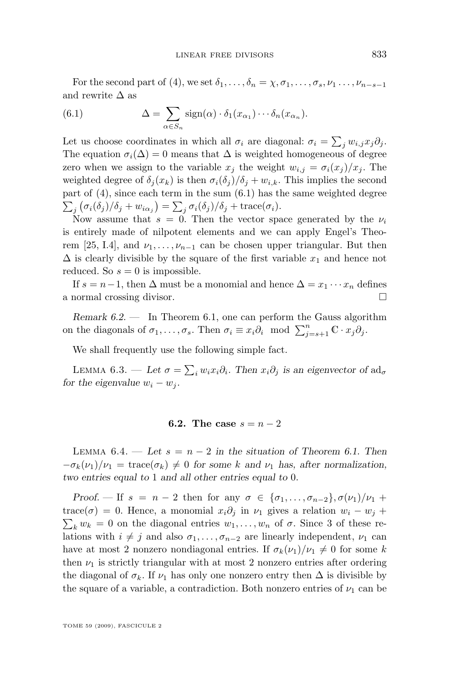<span id="page-23-0"></span>For the second part of [\(4\)](#page-22-0), we set  $\delta_1, \ldots, \delta_n = \chi, \sigma_1, \ldots, \sigma_s, \nu_1, \ldots, \nu_{n-s-1}$ and rewrite  $\Delta$  as

(6.1) 
$$
\Delta = \sum_{\alpha \in S_n} sign(\alpha) \cdot \delta_1(x_{\alpha_1}) \cdots \delta_n(x_{\alpha_n}).
$$

Let us choose coordinates in which all  $\sigma_i$  are diagonal:  $\sigma_i = \sum_j w_{i,j} x_j \partial_j$ . The equation  $\sigma_i(\Delta) = 0$  means that  $\Delta$  is weighted homogeneous of degree zero when we assign to the variable  $x_j$  the weight  $w_{i,j} = \sigma_i(x_j)/x_j$ . The weighted degree of  $\delta_j(x_k)$  is then  $\sigma_i(\delta_j)/\delta_j + w_{i,k}$ . This implies the second part of [\(4\)](#page-22-0), since each term in the sum (6.1) has the same weighted degree  $\sum_j \left( \sigma_i(\delta_j) / \delta_j + w_{i\alpha_j} \right) = \sum_j \sigma_i(\delta_j) / \delta_j + \text{trace}(\sigma_i).$ 

Now assume that  $s = 0$ . Then the vector space generated by the  $\nu_i$ is entirely made of nilpotent elements and we can apply Engel's Theo-rem [\[25,](#page-39-0) I.4], and  $\nu_1, \ldots, \nu_{n-1}$  can be chosen upper triangular. But then  $\Delta$  is clearly divisible by the square of the first variable  $x_1$  and hence not reduced. So  $s = 0$  is impossible.

If  $s = n-1$ , then  $\Delta$  must be a monomial and hence  $\Delta = x_1 \cdots x_n$  defines a normal crossing divisor.

*Remark 6.2. —* In Theorem [6.1,](#page-22-0) one can perform the Gauss algorithm on the diagonals of  $\sigma_1, \ldots, \sigma_s$ . Then  $\sigma_i \equiv x_i \partial_i \mod \sum_{j=s+1}^n \mathbb{C} \cdot x_j \partial_j$ .

We shall frequently use the following simple fact.

LEMMA 6.3. — *Let*  $\sigma = \sum_i w_i x_i \partial_i$ . Then  $x_i \partial_j$  is an eigenvector of  $ad_{\sigma}$ *for the eigenvalue*  $w_i - w_j$ *.* 

#### **6.2.** The case  $s = n - 2$

LEMMA  $6.4.$  — Let  $s = n - 2$  in the situation of Theorem [6.1.](#page-22-0) Then  $-\sigma_k(\nu_1)/\nu_1 = \text{trace}(\sigma_k) \neq 0$  for some k and  $\nu_1$  has, after normalization, *two entries equal to* 1 *and all other entries equal to* 0*.*

*Proof.* — If  $s = n - 2$  then for any  $\sigma \in {\sigma_1, \ldots, \sigma_{n-2}, \sigma(\nu_1)/\nu_1}$  + trace( $\sigma$ ) = 0. Hence, a monomial  $x_i\partial_j$  in  $\nu_1$  gives a relation  $w_i - w_j +$  $\sum_{k} w_k = 0$  on the diagonal entries  $w_1, \ldots, w_n$  of  $\sigma$ . Since 3 of these relations with  $i \neq j$  and also  $\sigma_1, \ldots, \sigma_{n-2}$  are linearly independent,  $\nu_1$  can have at most 2 nonzero nondiagonal entries. If  $\sigma_k(\nu_1)/\nu_1 \neq 0$  for some k then  $\nu_1$  is strictly triangular with at most 2 nonzero entries after ordering the diagonal of  $\sigma_k$ . If  $\nu_1$  has only one nonzero entry then  $\Delta$  is divisible by the square of a variable, a contradiction. Both nonzero entries of  $\nu_1$  can be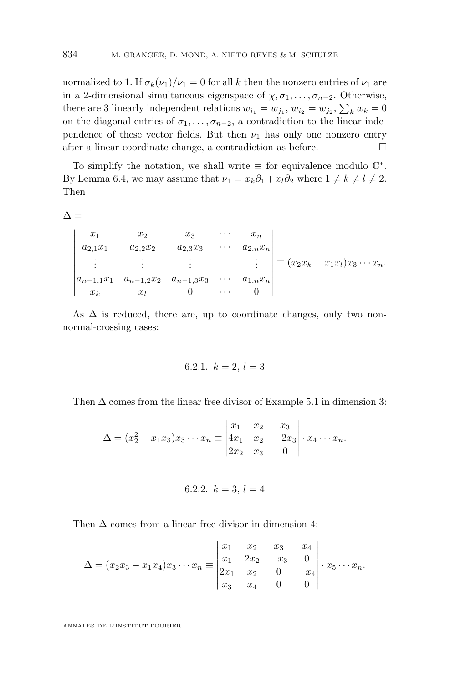normalized to 1. If  $\sigma_k(\nu_1)/\nu_1 = 0$  for all k then the nonzero entries of  $\nu_1$  are in a 2-dimensional simultaneous eigenspace of  $\chi, \sigma_1, \ldots, \sigma_{n-2}$ . Otherwise, there are 3 linearly independent relations  $w_{i_1} = w_{j_1}, w_{i_2} = w_{j_2}, \sum_k w_k = 0$ on the diagonal entries of  $\sigma_1, \ldots, \sigma_{n-2}$ , a contradiction to the linear independence of these vector fields. But then  $\nu_1$  has only one nonzero entry after a linear coordinate change, a contradiction as before.

To simplify the notation, we shall write  $\equiv$  for equivalence modulo  $\mathbb{C}^*$ . By Lemma [6.4,](#page-23-0) we may assume that  $\nu_1 = x_k \partial_1 + x_l \partial_2$  where  $1 \neq k \neq l \neq 2$ . Then

 $\Delta =$ 

  $x_1$   $x_2$   $x_3$   $\cdots$   $x_n$  $a_{2,1}x_1 \qquad a_{2,2}x_2 \qquad a_{2,3}x_3 \qquad \cdots \qquad a_{2,n}x_n$ . . . . . . . . . . . .  $a_{n-1,1}x_1 \quad a_{n-1,2}x_2 \quad a_{n-1,3}x_3 \quad \cdots \quad a_{1,n}x_n$  $x_k$   $x_l$  0  $\cdots$  0  $\equiv (x_2x_k-x_1x_l)x_3\cdots x_n.$ 

As  $\Delta$  is reduced, there are, up to coordinate changes, only two nonnormal-crossing cases:

6.2.1. 
$$
k = 2, l = 3
$$

Then  $\Delta$  comes from the linear free divisor of Example [5.1](#page-15-0) in dimension 3:

$$
\Delta = (x_2^2 - x_1 x_3)x_3 \cdots x_n \equiv \begin{vmatrix} x_1 & x_2 & x_3 \\ 4x_1 & x_2 & -2x_3 \\ 2x_2 & x_3 & 0 \end{vmatrix} \cdot x_4 \cdots x_n.
$$

$$
6.2.2. k = 3, l = 4
$$

Then  $\Delta$  comes from a linear free divisor in dimension 4:

$$
\Delta = (x_2x_3 - x_1x_4)x_3 \cdots x_n \equiv \begin{vmatrix} x_1 & x_2 & x_3 & x_4 \\ x_1 & 2x_2 & -x_3 & 0 \\ 2x_1 & x_2 & 0 & -x_4 \\ x_3 & x_4 & 0 & 0 \end{vmatrix} \cdot x_5 \cdots x_n.
$$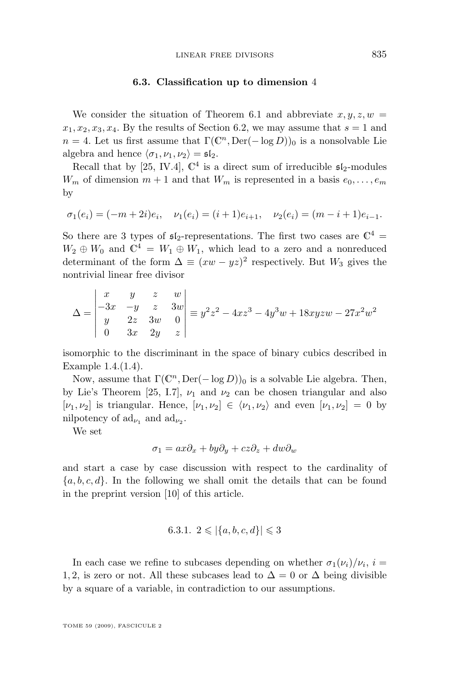#### **6.3. Classification up to dimension** 4

We consider the situation of Theorem [6.1](#page-22-0) and abbreviate  $x, y, z, w =$  $x_1, x_2, x_3, x_4$ . By the results of Section [6.2,](#page-23-0) we may assume that  $s = 1$  and  $n = 4$ . Let us first assume that  $\Gamma(\mathbb{C}^n, \text{Der}(-\log D))_0$  is a nonsolvable Lie algebra and hence  $\langle \sigma_1, \nu_1, \nu_2 \rangle = \mathfrak{sl}_2.$ 

Recall that by [\[25,](#page-39-0) IV.4],  $\mathbb{C}^4$  is a direct sum of irreducible  $\mathfrak{sl}_2$ -modules  $W_m$  of dimension  $m+1$  and that  $W_m$  is represented in a basis  $e_0, \ldots, e_m$ by

$$
\sigma_1(e_i) = (-m+2i)e_i, \quad \nu_1(e_i) = (i+1)e_{i+1}, \quad \nu_2(e_i) = (m-i+1)e_{i-1}.
$$

So there are 3 types of  $\mathfrak{sl}_2$ -representations. The first two cases are  $\mathbb{C}^4$  =  $W_2 \oplus W_0$  and  $\mathbb{C}^4 = W_1 \oplus W_1$ , which lead to a zero and a nonreduced determinant of the form  $\Delta \equiv (xw - yz)^2$  respectively. But  $W_3$  gives the nontrivial linear free divisor

$$
\Delta = \begin{vmatrix} x & y & z & w \\ -3x & -y & z & 3w \\ y & 2z & 3w & 0 \\ 0 & 3x & 2y & z \end{vmatrix} \equiv y^2 z^2 - 4xz^3 - 4y^3 w + 18xyzw - 27x^2 w^2
$$

isomorphic to the discriminant in the space of binary cubics described in Example [1.4.\(1.4\)](#page-3-0).

Now, assume that  $\Gamma(\mathbb{C}^n, \text{Der}(-\log D))_0$  is a solvable Lie algebra. Then, by Lie's Theorem [\[25,](#page-39-0) I.7],  $\nu_1$  and  $\nu_2$  can be chosen triangular and also  $[\nu_1, \nu_2]$  is triangular. Hence,  $[\nu_1, \nu_2] \in \langle \nu_1, \nu_2 \rangle$  and even  $[\nu_1, \nu_2] = 0$  by nilpotency of  $\mathrm{ad}_{\nu_1}$  and  $\mathrm{ad}_{\nu_2}$ .

We set

$$
\sigma_1 = ax\partial_x + by\partial_y + cz\partial_z + dw\partial_w
$$

and start a case by case discussion with respect to the cardinality of  ${a, b, c, d}$ . In the following we shall omit the details that can be found in the preprint version [\[10\]](#page-39-0) of this article.

6.3.1. 
$$
2 \leq |\{a, b, c, d\}| \leq 3
$$

In each case we refine to subcases depending on whether  $\sigma_1(\nu_i)/\nu_i$ ,  $i=$ 1, 2, is zero or not. All these subcases lead to  $\Delta = 0$  or  $\Delta$  being divisible by a square of a variable, in contradiction to our assumptions.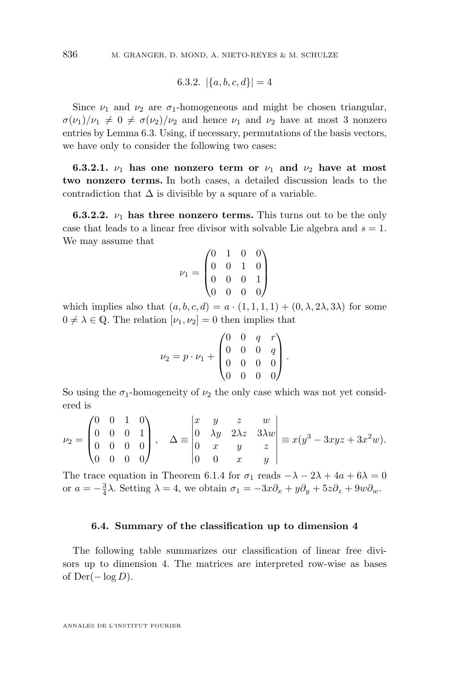6.3.2. 
$$
|\{a, b, c, d\}| = 4
$$

Since  $\nu_1$  and  $\nu_2$  are  $\sigma_1$ -homogeneous and might be chosen triangular,  $\sigma(\nu_1)/\nu_1 \neq 0 \neq \sigma(\nu_2)/\nu_2$  and hence  $\nu_1$  and  $\nu_2$  have at most 3 nonzero entries by Lemma [6.3.](#page-23-0) Using, if necessary, permutations of the basis vectors, we have only to consider the following two cases:

**6.3.2.1.**  $\nu_1$  has one nonzero term or  $\nu_1$  and  $\nu_2$  have at most **two nonzero terms.** In both cases, a detailed discussion leads to the contradiction that  $\Delta$  is divisible by a square of a variable.

**6.3.2.2.**  $\nu_1$  **has three nonzero terms.** This turns out to be the only case that leads to a linear free divisor with solvable Lie algebra and  $s = 1$ . We may assume that

$$
\nu_1 = \begin{pmatrix} 0 & 1 & 0 & 0 \\ 0 & 0 & 1 & 0 \\ 0 & 0 & 0 & 1 \\ 0 & 0 & 0 & 0 \end{pmatrix}
$$

which implies also that  $(a, b, c, d) = a \cdot (1, 1, 1, 1) + (0, \lambda, 2\lambda, 3\lambda)$  for some  $0 \neq \lambda \in \mathbb{Q}$ . The relation  $[\nu_1, \nu_2] = 0$  then implies that

$$
\nu_2 = p \cdot \nu_1 + \begin{pmatrix} 0 & 0 & q & r \\ 0 & 0 & 0 & q \\ 0 & 0 & 0 & 0 \\ 0 & 0 & 0 & 0 \end{pmatrix}.
$$

So using the  $\sigma_1$ -homogeneity of  $\nu_2$  the only case which was not yet considered is

$$
\nu_2 = \begin{pmatrix} 0 & 0 & 1 & 0 \\ 0 & 0 & 0 & 1 \\ 0 & 0 & 0 & 0 \\ 0 & 0 & 0 & 0 \end{pmatrix}, \quad \Delta \equiv \begin{vmatrix} x & y & z & w \\ 0 & \lambda y & 2\lambda z & 3\lambda w \\ 0 & x & y & z \\ 0 & 0 & x & y \end{vmatrix} \equiv x(y^3 - 3xyz + 3x^2w).
$$

The trace equation in Theorem [6.1.4](#page-22-0) for  $\sigma_1$  reads  $-\lambda - 2\lambda + 4a + 6\lambda = 0$ or  $a = -\frac{3}{4}\lambda$ . Setting  $\lambda = 4$ , we obtain  $\sigma_1 = -3x\partial_x + y\partial_y + 5z\partial_z + 9w\partial_w$ .

#### **6.4. Summary of the classification up to dimension 4**

The following table summarizes our classification of linear free divisors up to dimension 4. The matrices are interpreted row-wise as bases of  $Der(-\log D)$ .

<span id="page-26-0"></span>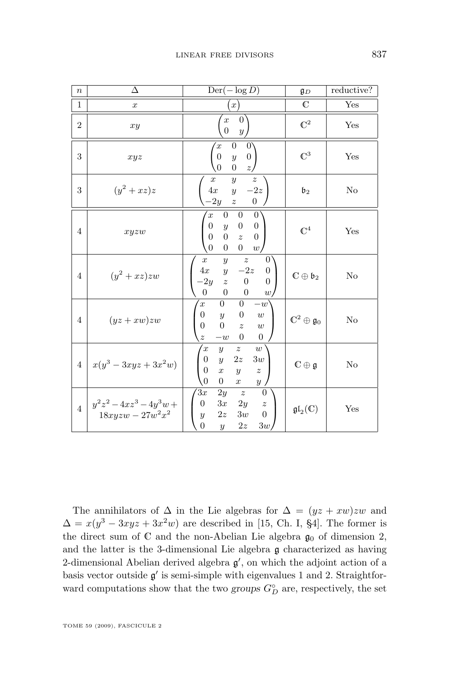| $\boldsymbol{n}$ | Δ                                                                           | $Der(-\log D)$                                                                                                                                                                                                                                                                                       | \$D\$                              | reductive? |
|------------------|-----------------------------------------------------------------------------|------------------------------------------------------------------------------------------------------------------------------------------------------------------------------------------------------------------------------------------------------------------------------------------------------|------------------------------------|------------|
| 1                | $\boldsymbol{x}$                                                            | x)                                                                                                                                                                                                                                                                                                   | $\mathbb{C}$                       | Yes        |
| $\overline{2}$   | xy                                                                          | 0 <sup>1</sup><br>$\boldsymbol{x}$<br>$\overline{0}$<br>y <sub>j</sub>                                                                                                                                                                                                                               | $\mathbb{C}^2$                     | Yes        |
| 3                | xyz                                                                         | $\boldsymbol{0}$<br>0<br>$\boldsymbol{x}$<br>$\boldsymbol{0}$<br>$\boldsymbol{0}$<br>$\boldsymbol{y}$<br>$\overline{0}$<br>$\overline{z}$<br>$\boldsymbol{0}$                                                                                                                                        | $\mathbb{C}^3$                     | Yes        |
| 3                | $(y^2+xz)z$                                                                 | $\boldsymbol{y}$<br>$\boldsymbol{x}$<br>$\boldsymbol{z}$<br>$-2z$<br>4x<br>$\boldsymbol{y}$<br>$-2y \quad z$<br>$\boldsymbol{0}$                                                                                                                                                                     | $\mathfrak{b}_2$                   | No         |
| 4                | xyzw                                                                        | $\overline{0}$<br>$\overline{0}$<br>$\left 0\right\rangle$<br>$\overline{x}$<br>$\overline{0}$<br>$\overline{0}$<br>$\overline{0}$<br>$\boldsymbol{y}$<br>$\overline{0}$<br>$\boldsymbol{0}$<br>$\overline{0}$<br>$\overline{z}$<br>$\theta$<br>$\boldsymbol{0}$<br>$\overline{0}$<br>w <sub>l</sub> | $\mathbb{C}^4$                     | Yes        |
| $\overline{4}$   | $(y^2+xz)zw$                                                                | $\overline{z}$<br>$\overline{0}$<br>$\boldsymbol{y}$<br>$\boldsymbol{x}$<br>$-2z$<br>4x<br>$\boldsymbol{0}$<br>$\overline{y}$<br>$-2y \quad z$<br>$\overline{0}$<br>$\boldsymbol{0}$<br>$\theta$<br>$\boldsymbol{0}$<br>$\boldsymbol{0}$<br>$\boldsymbol{w}$                                         | $\mathbb{C} \oplus \mathfrak{b}_2$ | $\rm No$   |
| $\overline{4}$   | $(yz+xw)zw$                                                                 | $\overline{0}$<br>$\Omega$<br>$-w$<br>$\overline{x}$<br>$\overline{0}$<br>$\boldsymbol{0}$<br>$\overline{y}$<br>$\boldsymbol{w}$<br>$\overline{0}$<br>$\overline{0}$<br>$\overline{z}$<br>w<br>$\overline{0}$<br>$\overline{0}$<br>$\tilde{z}$<br>$-w$                                               | $\mathbb{C}^2\oplus\mathfrak{g}_0$ | No         |
| $\overline{4}$   | $x(y^3 - 3xyz + 3x^2w)$                                                     | $\overline{z}$<br>$\boldsymbol{w}$<br>$\boldsymbol{x}$<br>$\boldsymbol{y}$<br>$\boldsymbol{0}$<br>2z<br>3w<br>$\boldsymbol{y}$<br>$\overline{0}$<br>$\boldsymbol{x}$<br>$\overline{y}$<br>$\boldsymbol{z}$<br>$\theta$<br>$\overline{0}$<br>$\boldsymbol{x}$<br>$\boldsymbol{y}$                     | $\mathbb{C}\oplus\mathfrak{g}$     | $\rm No$   |
| $\overline{4}$   | $\begin{array}{c}\ny^2z^2 - 4xz^3 - 4y^3w + 18xyzw - 27w^2x^2\n\end{array}$ | $\overline{z}$<br>2y<br>$\theta$<br>3x<br>$\boldsymbol{0}$<br>3x<br>2y<br>$\boldsymbol{z}$<br>$\overline{0}$<br>3w<br>2z<br>$\boldsymbol{y}$<br>$\overline{0}$<br>3w<br>2z<br>$\boldsymbol{y}$                                                                                                       | $\mathfrak{gl}_2(\mathbb{C})$      | Yes        |

The annihilators of  $\Delta$  in the Lie algebras for  $\Delta = (yz + xw)zw$  and  $\Delta = x(y^3 - 3xyz + 3x^2w)$  are described in [\[15,](#page-39-0) Ch. I, §4]. The former is the direct sum of  $\mathbb C$  and the non-Abelian Lie algebra  $\mathfrak{g}_0$  of dimension 2, and the latter is the 3-dimensional Lie algebra g characterized as having 2-dimensional Abelian derived algebra  $g'$ , on which the adjoint action of a basis vector outside  $g'$  is semi-simple with eigenvalues 1 and 2. Straightforward computations show that the two *groups*  $G_D^{\circ}$  are, respectively, the set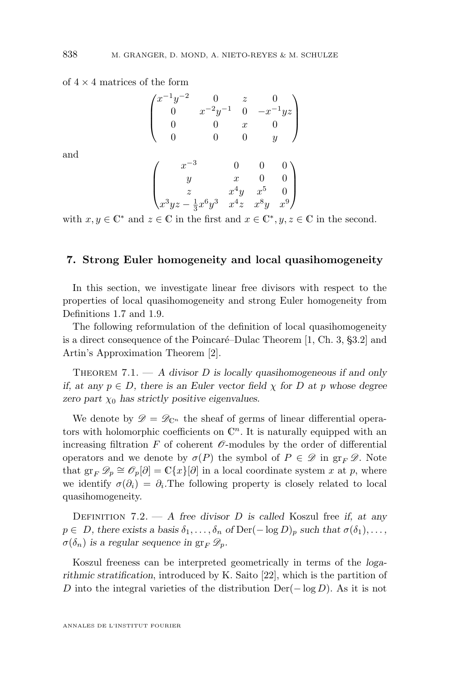of  $4 \times 4$  matrices of the form

$$
\begin{pmatrix} x^{-1}y^{-2} & 0 & z & 0 \\ 0 & x^{-2}y^{-1} & 0 & -x^{-1}yz \\ 0 & 0 & x & 0 \\ 0 & 0 & 0 & y \end{pmatrix}
$$

and

$$
\begin{pmatrix} x^{-3} & 0 & 0 & 0 \\ y & x & 0 & 0 \\ z & x^4y & x^5 & 0 \\ x^3yz - \frac{1}{3}x^6y^3 & x^4z & x^8y & x^9 \end{pmatrix}
$$

with  $x, y \in \mathbb{C}^*$  and  $z \in \mathbb{C}$  in the first and  $x \in \mathbb{C}^*$ ,  $y, z \in \mathbb{C}$  in the second.

#### **7. Strong Euler homogeneity and local quasihomogeneity**

In this section, we investigate linear free divisors with respect to the properties of local quasihomogeneity and strong Euler homogeneity from Definitions [1.7](#page-5-0) and [1.9.](#page-5-0)

The following reformulation of the definition of local quasihomogeneity is a direct consequence of the Poincaré–Dulac Theorem [\[1,](#page-38-0) Ch. 3, §3.2] and Artin's Approximation Theorem [\[2\]](#page-38-0).

Theorem 7.1. — *A divisor* D *is locally quasihomogeneous if and only if, at any*  $p \in D$ *, there is an Euler vector field*  $\chi$  *for* D *at* p whose degree *zero part*  $\chi_0$  *has strictly positive eigenvalues.* 

We denote by  $\mathscr{D} = \mathscr{D}_{\mathbb{C}^n}$  the sheaf of germs of linear differential operators with holomorphic coefficients on  $\mathbb{C}^n$ . It is naturally equipped with an increasing filtration  $F$  of coherent  $\mathcal O$ -modules by the order of differential operators and we denote by  $\sigma(P)$  the symbol of  $P \in \mathscr{D}$  in  $\operatorname{gr}_F \mathscr{D}$ . Note that  $\operatorname{gr}_F \mathscr{D}_p \cong \mathscr{O}_p[\partial] = \mathbb{C}\{x\}[\partial]$  in a local coordinate system x at p, where we identify  $\sigma(\partial_i) = \partial_i$ . The following property is closely related to local quasihomogeneity.

Definition 7.2. — *A free divisor* D *is called* Koszul free *if, at any*  $p \in D$ , there exists a basis  $\delta_1, \ldots, \delta_n$  of  $\text{Der}(-\log D)_p$  such that  $\sigma(\delta_1), \ldots,$  $\sigma(\delta_n)$  is a regular sequence in  $gr_F \mathscr{D}_p$ .

Koszul freeness can be interpreted geometrically in terms of the *logarithmic stratification*, introduced by K. Saito [\[22\]](#page-39-0), which is the partition of D into the integral varieties of the distribution  $Der(-\log D)$ . As it is not

<span id="page-28-0"></span>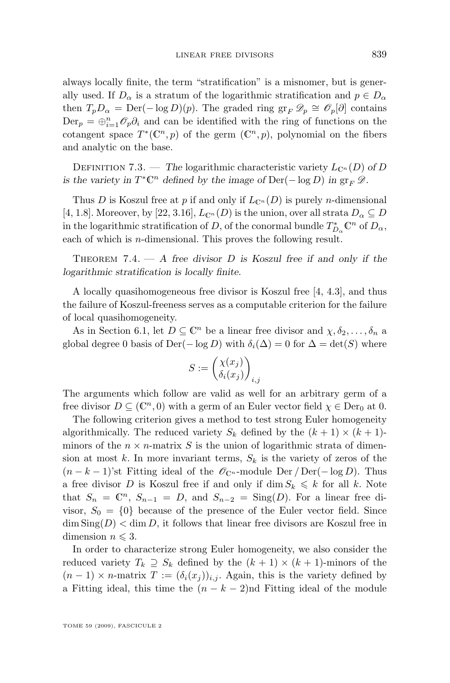always locally finite, the term "stratification" is a misnomer, but is generally used. If  $D_{\alpha}$  is a stratum of the logarithmic stratification and  $p \in D_{\alpha}$ then  $T_p D_\alpha = \text{Der}(-\log D)(p)$ . The graded ring  $\operatorname{gr}_F \mathscr{D}_p \cong \mathscr{O}_p[\partial]$  contains  $\text{Der}_p = \bigoplus_{i=1}^n \mathcal{O}_p \partial_i$  and can be identified with the ring of functions on the cotangent space  $T^*(\mathbb{C}^n, p)$  of the germ  $(\mathbb{C}^n, p)$ , polynomial on the fibers and analytic on the base.

DEFINITION 7.3. — *The* logarithmic characteristic variety  $L_{\mathbb{C}^n}(D)$  of D *is the variety in*  $T^* \mathbb{C}^n$  *defined by the image of*  $\text{Der}(-\log D)$  *in*  $\text{gr}_F \mathscr{D}$ *.* 

Thus D is Koszul free at p if and only if  $L_{\mathbb{C}^n}(D)$  is purely n-dimensional [\[4,](#page-38-0) 1.8]. Moreover, by [\[22,](#page-39-0) 3.16],  $L_{\mathbb{C}^n}(D)$  is the union, over all strata  $D_\alpha \subseteq D$ in the logarithmic stratification of D, of the conormal bundle  $T^*_{D_\alpha} \mathbb{C}^n$  of  $D_\alpha$ , each of which is *n*-dimensional. This proves the following result.

Theorem 7.4. — *A free divisor* D *is Koszul free if and only if the logarithmic stratification is locally finite.*

A locally quasihomogeneous free divisor is Koszul free [\[4,](#page-38-0) 4.3], and thus the failure of Koszul-freeness serves as a computable criterion for the failure of local quasihomogeneity.

As in Section [6.1,](#page-22-0) let  $D \subseteq \mathbb{C}^n$  be a linear free divisor and  $\chi, \delta_2, \ldots, \delta_n$  a global degree 0 basis of Der( $-\log D$ ) with  $\delta_i(\Delta) = 0$  for  $\Delta = \det(S)$  where

$$
S := \begin{pmatrix} \chi(x_j) \\ \delta_i(x_j) \end{pmatrix}_{i,j}
$$

The arguments which follow are valid as well for an arbitrary germ of a free divisor  $D \subseteq (\mathbb{C}^n, 0)$  with a germ of an Euler vector field  $\chi \in \text{Der}_0$  at 0.

The following criterion gives a method to test strong Euler homogeneity algorithmically. The reduced variety  $S_k$  defined by the  $(k + 1) \times (k + 1)$ minors of the  $n \times n$ -matrix S is the union of logarithmic strata of dimension at most k. In more invariant terms,  $S_k$  is the variety of zeros of the  $(n - k - 1)$ 'st Fitting ideal of the  $\mathscr{O}_{\mathbb{C}^n}$ -module Der / Der(- log D). Thus a free divisor D is Koszul free if and only if dim  $S_k \leq k$  for all k. Note that  $S_n = \mathbb{C}^n$ ,  $S_{n-1} = D$ , and  $S_{n-2} = \text{Sing}(D)$ . For a linear free divisor,  $S_0 = \{0\}$  because of the presence of the Euler vector field. Since  $\dim \text{Sing}(D) < \dim D$ , it follows that linear free divisors are Koszul free in dimension  $n \leq 3$ .

In order to characterize strong Euler homogeneity, we also consider the reduced variety  $T_k \supseteq S_k$  defined by the  $(k+1) \times (k+1)$ -minors of the  $(n-1) \times n$ -matrix  $T := (\delta_i(x_i))_{i,j}$ . Again, this is the variety defined by a Fitting ideal, this time the  $(n - k - 2)$ nd Fitting ideal of the module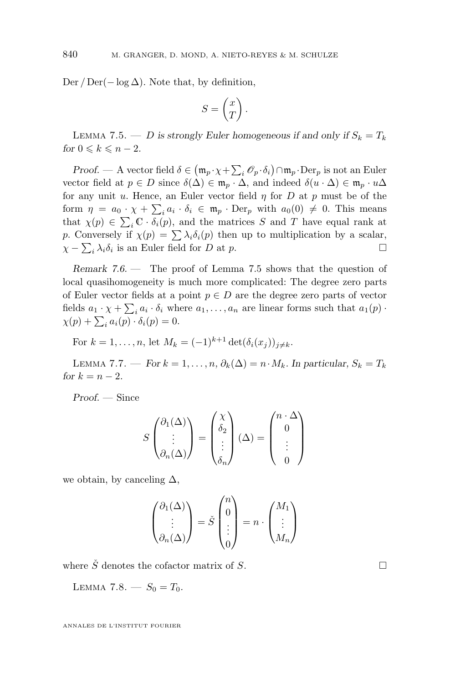<span id="page-30-0"></span>Der / Der $(-\log \Delta)$ . Note that, by definition,

$$
S = \begin{pmatrix} x \\ T \end{pmatrix}.
$$

LEMMA 7.5. — *D* is strongly Euler homogeneous if and only if  $S_k = T_k$ *for*  $0 \leq k \leq n-2$ *.* 

*Proof.* — A vector field  $\delta \in (\mathfrak{m}_p \cdot \chi + \sum_i \mathcal{O}_p \cdot \delta_i) \cap \mathfrak{m}_p \cdot \text{Der}_p$  is not an Euler vector field at  $p \in D$  since  $\delta(\Delta) \in \mathfrak{m}_p \cdot \Delta$ , and indeed  $\delta(u \cdot \Delta) \in \mathfrak{m}_p \cdot u\Delta$ for any unit u. Hence, an Euler vector field  $\eta$  for D at p must be of the form  $\eta = a_0 \cdot \chi + \sum_i a_i \cdot \delta_i \in \mathfrak{m}_p \cdot \text{Der}_p$  with  $a_0(0) \neq 0$ . This means that  $\chi(p) \in \sum_i \mathbb{C} \cdot \delta_i(p)$ , and the matrices S and T have equal rank at p. Conversely if  $\chi(p) = \sum \lambda_i \delta_i(p)$  then up to multiplication by a scalar,  $\chi - \sum_i \lambda_i \delta_i$  is an Euler field for D at p.

*Remark 7.6. —* The proof of Lemma 7.5 shows that the question of local quasihomogeneity is much more complicated: The degree zero parts of Euler vector fields at a point  $p \in D$  are the degree zero parts of vector fields  $a_1 \cdot \chi + \sum_i a_i \cdot \delta_i$  where  $a_1, \ldots, a_n$  are linear forms such that  $a_1(p)$ .  $\chi(p) + \sum_i a_i(p) \cdot \delta_i(p) = 0.$ 

For 
$$
k = 1, ..., n
$$
, let  $M_k = (-1)^{k+1} \det(\delta_i(x_j))_{j \neq k}$ .

LEMMA 7.7. — *For*  $k = 1, ..., n$ ,  $\partial_k(\Delta) = n \cdot M_k$ . In particular,  $S_k = T_k$ *for*  $k = n - 2$ *.* 

*Proof. —* Since

$$
S\begin{pmatrix} \partial_1(\Delta) \\ \vdots \\ \partial_n(\Delta) \end{pmatrix} = \begin{pmatrix} \chi \\ \delta_2 \\ \vdots \\ \delta_n \end{pmatrix} (\Delta) = \begin{pmatrix} n \cdot \Delta \\ 0 \\ \vdots \\ 0 \end{pmatrix}
$$

we obtain, by canceling  $\Delta$ ,

$$
\begin{pmatrix} \partial_1(\Delta) \\ \vdots \\ \partial_n(\Delta) \end{pmatrix} = \check{S} \begin{pmatrix} n \\ 0 \\ \vdots \\ 0 \end{pmatrix} = n \cdot \begin{pmatrix} M_1 \\ \vdots \\ M_n \end{pmatrix}
$$

where  $\check{S}$  denotes the cofactor matrix of S.

LEMMA 7.8.  $-S_0 = T_0$ .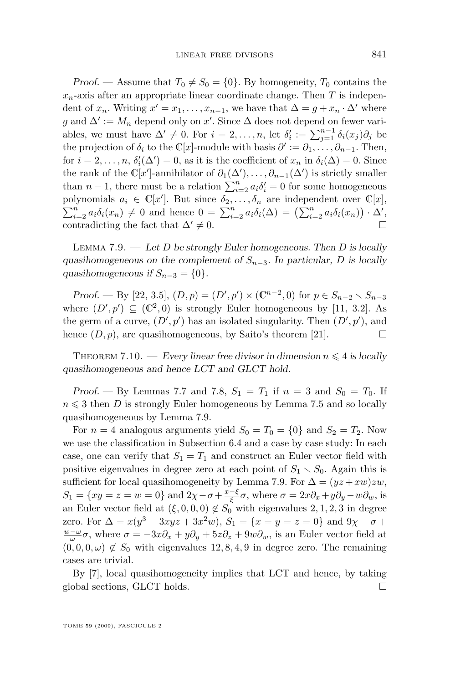*Proof.* — Assume that  $T_0 \neq S_0 = \{0\}$ . By homogeneity,  $T_0$  contains the  $x_n$ -axis after an appropriate linear coordinate change. Then T is independent of  $x_n$ . Writing  $x' = x_1, \ldots, x_{n-1}$ , we have that  $\Delta = g + x_n \cdot \Delta'$  where g and  $\Delta' := M_n$  depend only on x'. Since  $\Delta$  does not depend on fewer variables, we must have  $\Delta' \neq 0$ . For  $i = 2, \ldots, n$ , let  $\delta'_i := \sum_{j=1}^{n-1} \delta_i(x_j) \partial_j$  be the projection of  $\delta_i$  to the C[x]-module with basis  $\partial' := \partial_1, \ldots, \partial_{n-1}$ . Then, for  $i = 2, \ldots, n$ ,  $\delta_i'(\Delta') = 0$ , as it is the coefficient of  $x_n$  in  $\delta_i(\Delta) = 0$ . Since the rank of the  $\mathbb{C}[x']$ -annihilator of  $\partial_1(\Delta'), \dots, \partial_{n-1}(\Delta')$  is strictly smaller than  $n-1$ , there must be a relation  $\sum_{i=2}^{n} a_i \delta'_i = 0$  for some homogeneous polynomials  $a_i \in \mathbb{C}[x']$ . But since  $\delta_2, \ldots, \delta_n$  are independent over  $\mathbb{C}[x]$ ,  $\sum_{i=2}^{n} a_i \delta_i(x_n) \neq 0$  and hence  $0 = \sum_{i=2}^{n} a_i \delta_i(\Delta) = (\sum_{i=2}^{n} a_i \delta_i(x_n)) \cdot \Delta',$ contradicting the fact that  $\Delta' \neq 0$ .

Lemma 7.9. — *Let* D *be strongly Euler homogeneous. Then* D *is locally quasihomogeneous on the complement of*  $S_{n-3}$ *. In particular,* D *is locally quasihomogeneous if*  $S_{n-3} = \{0\}$ .

*Proof.* — By [\[22,](#page-39-0) 3.5],  $(D, p) = (D', p') \times (\mathbb{C}^{n-2}, 0)$  for  $p \in S_{n-2} \setminus S_{n-3}$ where  $(D', p') \subseteq (\mathbb{C}^2, 0)$  is strongly Euler homogeneous by [\[11,](#page-39-0) 3.2]. As the germ of a curve,  $(D', p')$  has an isolated singularity. Then  $(D', p')$ , and hence  $(D, p)$ , are quasihomogeneous, by Saito's theorem [\[21\]](#page-39-0).

THEOREM 7.10. — *Every linear free divisor in dimension*  $n \leq 4$  *is locally quasihomogeneous and hence LCT and GLCT hold.*

*Proof.* — By Lemmas [7.7](#page-30-0) and [7.8,](#page-30-0)  $S_1 = T_1$  if  $n = 3$  and  $S_0 = T_0$ . If  $n \leq 3$  then D is strongly Euler homogeneous by Lemma [7.5](#page-30-0) and so locally quasihomogeneous by Lemma 7.9.

For  $n = 4$  analogous arguments yield  $S_0 = T_0 = \{0\}$  and  $S_2 = T_2$ . Now we use the classification in Subsection [6.4](#page-26-0) and a case by case study: In each case, one can verify that  $S_1 = T_1$  and construct an Euler vector field with positive eigenvalues in degree zero at each point of  $S_1 \setminus S_0$ . Again this is sufficient for local quasihomogeneity by Lemma 7.9. For  $\Delta = (yz + xw)zw$ ,  $S_1 = \{xy = z = w = 0\}$  and  $2\chi - \sigma + \frac{x-\xi}{\xi}\sigma$ , where  $\sigma = 2x\partial_x + y\partial_y - w\partial_w$ , is an Euler vector field at  $(\xi, 0, 0, 0) \notin S_0$  with eigenvalues 2, 1, 2, 3 in degree zero. For  $\Delta = x(y^3 - 3xyz + 3x^2w)$ ,  $S_1 = \{x = y = z = 0\}$  and  $9\chi - \sigma +$  $\frac{w-\omega}{\omega}\sigma$ , where  $\sigma = -3x\partial_x + y\partial_y + 5z\partial_z + 9w\partial_w$ , is an Euler vector field at  $(0, 0, 0, \omega) \notin S_0$  with eigenvalues 12, 8, 4, 9 in degree zero. The remaining cases are trivial.

By [\[7\]](#page-39-0), local quasihomogeneity implies that LCT and hence, by taking global sections, GLCT holds.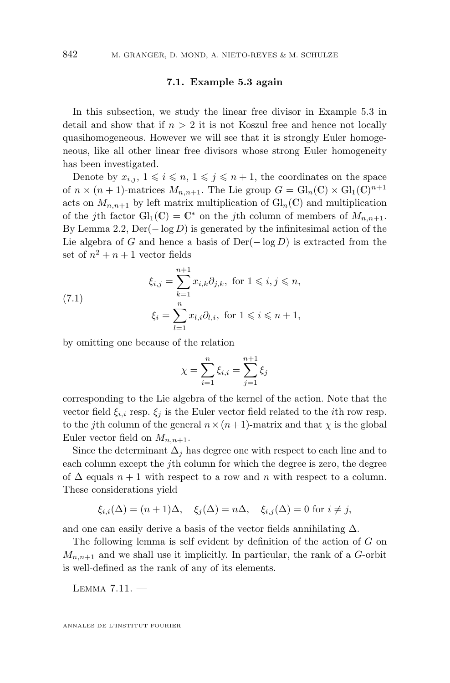#### **7.1. Example [5.3](#page-17-0) again**

<span id="page-32-0"></span>In this subsection, we study the linear free divisor in Example [5.3](#page-17-0) in detail and show that if  $n > 2$  it is not Koszul free and hence not locally quasihomogeneous. However we will see that it is strongly Euler homogeneous, like all other linear free divisors whose strong Euler homogeneity has been investigated.

Denote by  $x_{i,j}, 1 \leq i \leq n, 1 \leq j \leq n+1$ , the coordinates on the space of  $n \times (n+1)$ -matrices  $M_{n,n+1}$ . The Lie group  $G = \mathrm{Gl}_n(\mathbb{C}) \times \mathrm{Gl}_1(\mathbb{C})^{n+1}$ acts on  $M_{n,n+1}$  by left matrix multiplication of  $\mathrm{Gl}_n(\mathbb{C})$  and multiplication of the jth factor  $Gl_1(\mathbb{C}) = \mathbb{C}^*$  on the jth column of members of  $M_{n,n+1}$ . By Lemma [2.2,](#page-7-0)  $\text{Der}(-\log D)$  is generated by the infinitesimal action of the Lie algebra of G and hence a basis of  $Der(-\log D)$  is extracted from the set of  $n^2 + n + 1$  vector fields

(7.1) 
$$
\xi_{i,j} = \sum_{k=1}^{n+1} x_{i,k} \partial_{j,k}, \text{ for } 1 \leq i, j \leq n,
$$

$$
\xi_i = \sum_{l=1}^n x_{l,i} \partial_{l,i}, \text{ for } 1 \leq i \leq n+1,
$$

by omitting one because of the relation

$$
\chi = \sum_{i=1}^{n} \xi_{i,i} = \sum_{j=1}^{n+1} \xi_j
$$

corresponding to the Lie algebra of the kernel of the action. Note that the vector field  $\xi_{i,i}$  resp.  $\xi_i$  is the Euler vector field related to the *i*th row resp. to the jth column of the general  $n \times (n+1)$ -matrix and that  $\chi$  is the global Euler vector field on  $M_{n,n+1}$ .

Since the determinant  $\Delta_i$  has degree one with respect to each line and to each column except the  $j$ th column for which the degree is zero, the degree of  $\Delta$  equals  $n + 1$  with respect to a row and n with respect to a column. These considerations yield

$$
\xi_{i,i}(\Delta) = (n+1)\Delta, \quad \xi_j(\Delta) = n\Delta, \quad \xi_{i,j}(\Delta) = 0 \text{ for } i \neq j,
$$

and one can easily derive a basis of the vector fields annihilating  $\Delta$ .

The following lemma is self evident by definition of the action of G on  $M_{n,n+1}$  and we shall use it implicitly. In particular, the rank of a G-orbit is well-defined as the rank of any of its elements.

Lemma 7.11. —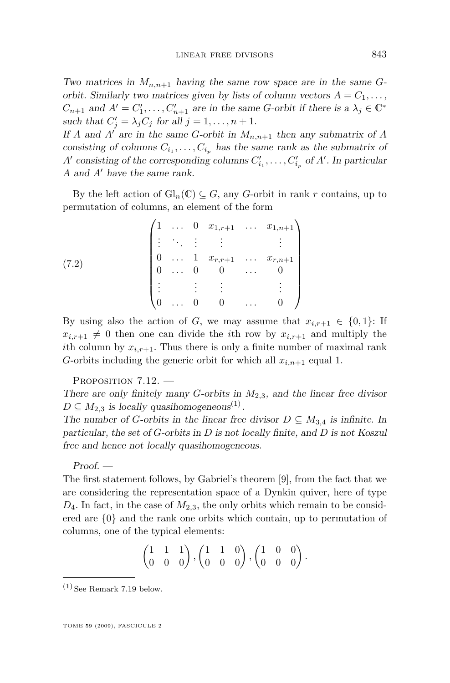<span id="page-33-0"></span>*Two matrices in*  $M_{n,n+1}$  *having the same row space are in the same Gorbit. Similarly two matrices given by lists of column vectors*  $A = C_1, \ldots$ ,  $C_{n+1}$  and  $A' = C'_1, \ldots, C'_{n+1}$  are in the same G-orbit if there is a  $\lambda_j \in \mathbb{C}^*$ such that  $C'_j = \lambda_j C_j$  for all  $j = 1, \ldots, n + 1$ .

If A and  $A^{\prime}$  are in the same G-orbit in  $M_{n,n+1}$  then any submatrix of A consisting of columns  $C_{i_1}, \ldots, C_{i_p}$  has the same rank as the submatrix of A' consisting of the corresponding columns  $C'_{i_1}, \ldots, C'_{i_p}$  of A'. In particular A and A' have the same rank.

By the left action of  $\mathrm{Gl}_n(\mathbb{C}) \subseteq G$ , any G-orbit in rank r contains, up to permutation of columns, an element of the form

(7.2)  $\begin{pmatrix} 1 & \ldots & 0 & x_{1,r+1} & \ldots & x_{1,n+1} \end{pmatrix}$  $\overline{\phantom{a}}$ . . . . . . . . . . . . . . .  $0 \quad \dots \quad 1 \quad x_{r,r+1} \quad \dots \quad x_{r,n+1}$  $0 \quad ... \quad 0 \quad 0 \quad ... \quad 0$ . . . . . . . . . . . .  $0 \quad ... \quad 0 \quad 0 \quad ... \quad 0$  $\setminus$  $\overline{\phantom{a}}$ 

By using also the action of G, we may assume that  $x_{i,r+1} \in \{0,1\}$ : If  $x_{i,r+1} \neq 0$  then one can divide the *i*th row by  $x_{i,r+1}$  and multiply the ith column by  $x_{i,r+1}$ . Thus there is only a finite number of maximal rank G-orbits including the generic orbit for which all  $x_{i,n+1}$  equal 1.

PROPOSITION 7.12.

*There are only finitely many* G*-orbits in* M2,3*, and the linear free divisor*  $D \subseteq M_{2,3}$  *is locally quasihomogeneous*<sup>(1)</sup>.

*The number of G-orbits in the linear free divisor*  $D \subseteq M_{3,4}$  *is infinite. In particular, the set of* G*-orbits in* D *is not locally finite, and* D *is not Koszul free and hence not locally quasihomogeneous.*

*Proof. —*

The first statement follows, by Gabriel's theorem [\[9\]](#page-39-0), from the fact that we are considering the representation space of a Dynkin quiver, here of type  $D_4$ . In fact, in the case of  $M_{2,3}$ , the only orbits which remain to be considered are {0} and the rank one orbits which contain, up to permutation of columns, one of the typical elements:

$$
\begin{pmatrix} 1 & 1 & 1 \ 0 & 0 & 0 \end{pmatrix}, \begin{pmatrix} 1 & 1 & 0 \ 0 & 0 & 0 \end{pmatrix}, \begin{pmatrix} 1 & 0 & 0 \ 0 & 0 & 0 \end{pmatrix}.
$$

 $(1)$  See Remark [7.19](#page-38-0) below.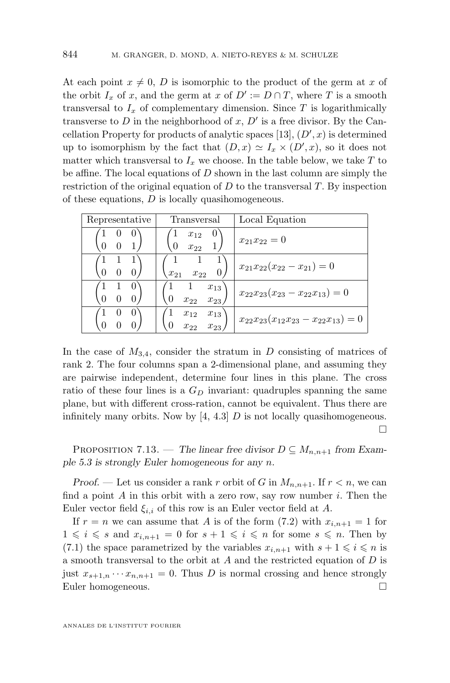At each point  $x \neq 0$ , D is isomorphic to the product of the germ at x of the orbit  $I_x$  of x, and the germ at x of  $D' := D \cap T$ , where T is a smooth transversal to  $I_x$  of complementary dimension. Since  $T$  is logarithmically transverse to  $D$  in the neighborhood of  $x, D'$  is a free divisor. By the Can-cellation Property for products of analytic spaces [\[13\]](#page-39-0),  $(D', x)$  is determined up to isomorphism by the fact that  $(D, x) \simeq I_x \times (D', x)$ , so it does not matter which transversal to  $I_x$  we choose. In the table below, we take  $T$  to be affine. The local equations of  $D$  shown in the last column are simply the restriction of the original equation of  $D$  to the transversal  $T$ . By inspection of these equations,  $D$  is locally quasihomogeneous.

| Representative | Transversal                                                  | Local Equation                              |
|----------------|--------------------------------------------------------------|---------------------------------------------|
| U              | $\cup$<br>$x_{12}$<br>$\overline{0}$<br>$x_{22}$             | $x_{21}x_{22}=0$                            |
|                | $\theta$<br>$x_{21}$<br>$x_{22}$                             | $x_{21}x_{22}(x_{22}-x_{21})=0$             |
|                | $\mathbf{1}$<br>$x_{13}$<br>$\theta$<br>$x_{22}$<br>$x_{23}$ | $x_{22}x_{23}(x_{23}-x_{22}x_{13})=0$       |
| $\theta$       | $x_{13}$<br>$x_{12}$<br>$x_{22}$<br>$x_{23}$                 | $x_{22}x_{23}(x_{12}x_{23}-x_{22}x_{13})=0$ |

In the case of  $M_{3,4}$ , consider the stratum in D consisting of matrices of rank 2. The four columns span a 2-dimensional plane, and assuming they are pairwise independent, determine four lines in this plane. The cross ratio of these four lines is a  $G<sub>D</sub>$  invariant: quadruples spanning the same plane, but with different cross-ration, cannot be equivalent. Thus there are infinitely many orbits. Now by  $[4, 4.3]$  $[4, 4.3]$  D is not locally quasihomogeneous. П

PROPOSITION 7.13. — The linear free divisor  $D \subseteq M_{n,n+1}$  from Exam*ple [5.3](#page-17-0) is strongly Euler homogeneous for any* n*.*

*Proof.* — Let us consider a rank r orbit of G in  $M_{n,n+1}$ . If  $r < n$ , we can find a point  $A$  in this orbit with a zero row, say row number  $i$ . Then the Euler vector field  $\xi_{i,i}$  of this row is an Euler vector field at A.

If  $r = n$  we can assume that A is of the form [\(7.2\)](#page-33-0) with  $x_{i,n+1} = 1$  for  $1 \leq i \leq s$  and  $x_{i,n+1} = 0$  for  $s + 1 \leq i \leq n$  for some  $s \leq n$ . Then by [\(7.1\)](#page-32-0) the space parametrized by the variables  $x_{i,n+1}$  with  $s+1 \leq i \leq n$  is a smooth transversal to the orbit at  $A$  and the restricted equation of  $D$  is just  $x_{s+1,n} \cdots x_{n,n+1} = 0$ . Thus D is normal crossing and hence strongly Euler homogeneous.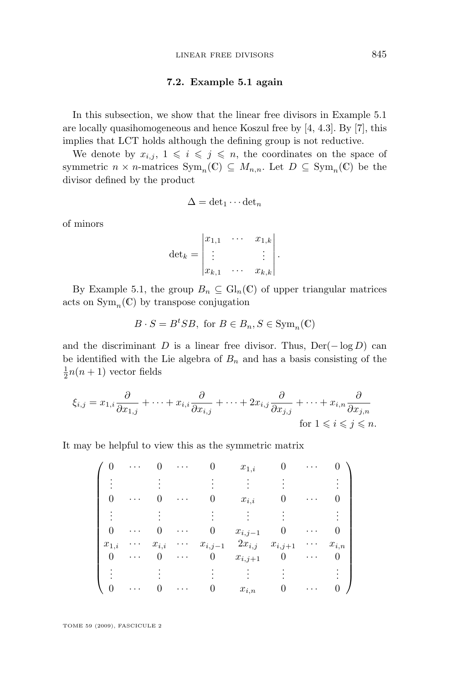#### **7.2. Example [5.1](#page-15-0) again**

<span id="page-35-0"></span>In this subsection, we show that the linear free divisors in Example [5.1](#page-15-0) are locally quasihomogeneous and hence Koszul free by [\[4,](#page-38-0) 4.3]. By [\[7\]](#page-39-0), this implies that LCT holds although the defining group is not reductive.

We denote by  $x_{i,j}$ ,  $1 \leq i \leq j \leq n$ , the coordinates on the space of symmetric  $n \times n$ -matrices  $Sym_n(\mathbb{C}) \subseteq M_{n,n}$ . Let  $D \subseteq Sym_n(\mathbb{C})$  be the divisor defined by the product

$$
\Delta = \det_1 \cdots \det_n
$$

of minors

$$
\det_k = \begin{vmatrix} x_{1,1} & \cdots & x_{1,k} \\ \vdots & & \vdots \\ x_{k,1} & \cdots & x_{k,k} \end{vmatrix}.
$$

By Example [5.1,](#page-15-0) the group  $B_n \subseteq Gl_n(\mathbb{C})$  of upper triangular matrices acts on  $\text{Sym}_n(\mathbb{C})$  by transpose conjugation

$$
B\cdot S=B^tSB, \text{ for } B\in B_n, S\in \text{Sym}_n(\mathbb{C})
$$

and the discriminant D is a linear free divisor. Thus,  $Der(-log D)$  can be identified with the Lie algebra of  $B_n$  and has a basis consisting of the  $\frac{1}{2}n(n+1)$  vector fields

$$
\xi_{i,j} = x_{1,i} \frac{\partial}{\partial x_{1,j}} + \dots + x_{i,i} \frac{\partial}{\partial x_{i,j}} + \dots + 2x_{i,j} \frac{\partial}{\partial x_{j,j}} + \dots + x_{i,n} \frac{\partial}{\partial x_{j,n}}
$$
  
for  $1 \le i \le j \le n$ .

It may be helpful to view this as the symmetric matrix

$$
\begin{pmatrix}\n0 & \cdots & 0 & \cdots & 0 & x_{1,i} & 0 & \cdots & 0 \\
\vdots & \vdots & \vdots & \vdots & \vdots & \vdots & \vdots \\
0 & \cdots & 0 & \cdots & 0 & x_{i,i} & 0 & \cdots & 0 \\
\vdots & \vdots & \vdots & \vdots & \vdots & \vdots & \vdots \\
0 & \cdots & 0 & \cdots & 0 & x_{i,j-1} & 0 & \cdots & 0 \\
x_{1,i} & \cdots & x_{i,i} & \cdots & x_{i,j-1} & 2x_{i,j} & x_{i,j+1} & \cdots & x_{i,n} \\
0 & \cdots & 0 & \cdots & 0 & x_{i,j+1} & 0 & \cdots & 0 \\
\vdots & \vdots & \vdots & \vdots & \vdots & \vdots & \vdots \\
0 & \cdots & 0 & \cdots & 0 & x_{i,n} & 0 & \cdots & 0\n\end{pmatrix}
$$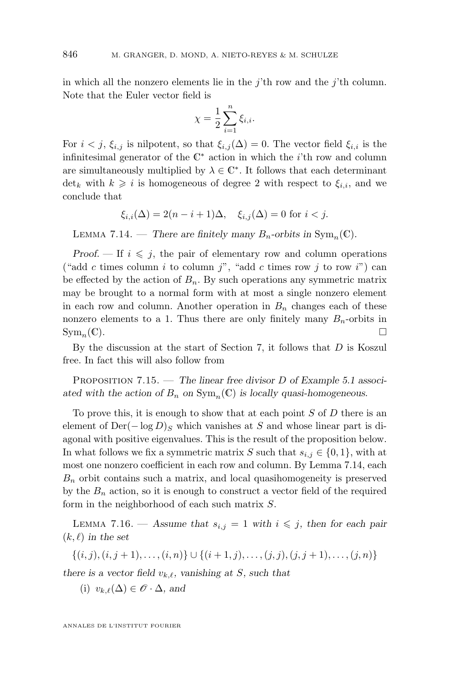<span id="page-36-0"></span>in which all the nonzero elements lie in the j'th row and the j'th column. Note that the Euler vector field is

$$
\chi = \frac{1}{2} \sum_{i=1}^{n} \xi_{i,i}.
$$

For  $i < j$ ,  $\xi_{i,j}$  is nilpotent, so that  $\xi_{i,j}(\Delta) = 0$ . The vector field  $\xi_{i,i}$  is the infinitesimal generator of the  $\mathbb{C}^*$  action in which the *i*'th row and column are simultaneously multiplied by  $\lambda \in \mathbb{C}^*$ . It follows that each determinant det<sub>k</sub> with  $k \geq i$  is homogeneous of degree 2 with respect to  $\xi_{i,i}$ , and we conclude that

$$
\xi_{i,i}(\Delta) = 2(n-i+1)\Delta, \quad \xi_{i,j}(\Delta) = 0 \text{ for } i < j.
$$

LEMMA 7.14. — *There are finitely many*  $B_n$ -orbits in  $Sym_n(\mathbb{C})$ .

*Proof.* — If  $i \leq j$ , the pair of elementary row and column operations ("add c times column i to column j", "add c times row j to row i") can be effected by the action of  $B_n$ . By such operations any symmetric matrix may be brought to a normal form with at most a single nonzero element in each row and column. Another operation in  $B_n$  changes each of these nonzero elements to a 1. Thus there are only finitely many  $B_n$ -orbits in  $\text{Sym}_n(\mathbb{C}).$ 

By the discussion at the start of Section [7,](#page-28-0) it follows that  $D$  is Koszul free. In fact this will also follow from

Proposition 7.15. — *The linear free divisor* D *of Example [5.1](#page-15-0) associ*ated with the action of  $B_n$  on  $\text{Sym}_n(\mathbb{C})$  is locally quasi-homogeneous.

To prove this, it is enough to show that at each point  $S$  of  $D$  there is an element of  $\text{Der}(-\log D)_S$  which vanishes at S and whose linear part is diagonal with positive eigenvalues. This is the result of the proposition below. In what follows we fix a symmetric matrix S such that  $s_{i,j} \in \{0,1\}$ , with at most one nonzero coefficient in each row and column. By Lemma 7.14, each  $B_n$  orbit contains such a matrix, and local quasihomogeneity is preserved by the  $B_n$  action, so it is enough to construct a vector field of the required form in the neighborhood of each such matrix S.

LEMMA 7.16. — Assume that  $s_{i,j} = 1$  with  $i \leq j$ , then for each pair  $(k, \ell)$  *in the set* 

$$
\{(i,j),(i,j+1),\ldots,(i,n)\}\cup\{(i+1,j),\ldots,(j,j),(j,j+1),\ldots,(j,n)\}
$$

*there is a vector field*  $v_{k,\ell}$ *, vanishing at* S*, such that* 

(i)  $v_{k,\ell}(\Delta) \in \mathscr{O} \cdot \Delta$ *, and*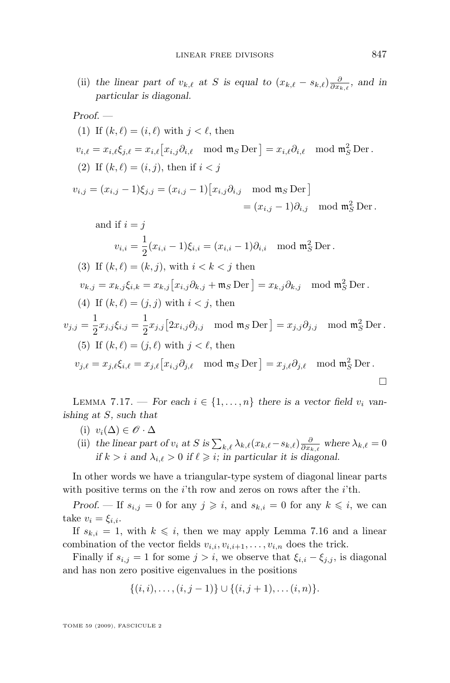(ii) the linear part of  $v_{k,\ell}$  at S is equal to  $(x_{k,\ell} - s_{k,\ell}) \frac{\partial}{\partial x_{k,\ell}}$ , and in *particular is diagonal.*

Proof. —  
\n(1) If 
$$
(k, \ell) = (i, \ell)
$$
 with  $j < \ell$ , then  
\n $v_{i,\ell} = x_{i,\ell} \xi_{j,\ell} = x_{i,\ell} [x_{i,j} \partial_{i,\ell} \mod m_S \text{ Der}] = x_{i,\ell} \partial_{i,\ell} \mod m_S^2 \text{ Der}$ .  
\n(2) If  $(k, \ell) = (i, j)$ , then if  $i < j$   
\n $v_{i,j} = (x_{i,j} - 1)\xi_{j,j} = (x_{i,j} - 1) [x_{i,j} \partial_{i,j} \mod m_S \text{ Der}]$   
\n $= (x_{i,j} - 1) \partial_{i,j} \mod m_S^2 \text{ Der}$ .  
\nand if  $i = j$   
\n $v_{i,i} = \frac{1}{2} (x_{i,i} - 1) \xi_{i,i} = (x_{i,i} - 1) \partial_{i,i} \mod m_S^2 \text{ Der}$ .  
\n(3) If  $(k, \ell) = (k, j)$ , with  $i < k < j$  then  
\n $v_{k,j} = x_{k,j} \xi_{i,k} = x_{k,j} [x_{i,j} \partial_{k,j} + m_S \text{ Der}] = x_{k,j} \partial_{k,j} \mod m_S^2 \text{ Der}$ .  
\n(4) If  $(k, \ell) = (j, j)$  with  $i < j$ , then  
\n $v_{j,j} = \frac{1}{2} x_{j,j} \xi_{i,j} = \frac{1}{2} x_{j,j} [2x_{i,j} \partial_{j,j} \mod m_S \text{ Der}] = x_{j,j} \partial_{j,j} \mod m_S^2 \text{ Der}$ .  
\n(5) If  $(k, \ell) = (j, \ell)$  with  $j < \ell$ , then  
\n $v_{j,\ell} = x_{j,\ell} \xi_{i,\ell} = x_{j,\ell} [x_{i,j} \partial_{j,\ell} \mod m_S \text{ Der}] = x_{j,\ell} \partial_{j,\ell} \mod m_S^2 \text{Der}$ .

LEMMA 7.17. — For each  $i \in \{1, \ldots, n\}$  there is a vector field  $v_i$  van*ishing at* S*, such that*

- (i)  $v_i(\Delta) \in \mathscr{O} \cdot \Delta$
- (ii) the linear part of  $v_i$  at S is  $\sum_{k,\ell} \lambda_{k,\ell}(x_{k,\ell}-s_{k,\ell}) \frac{\partial}{\partial x_{k,\ell}}$  where  $\lambda_{k,\ell} = 0$ *if*  $k > i$  *and*  $\lambda_{i.\ell} > 0$  *if*  $\ell \geq i$ *; in particular it is diagonal.*

In other words we have a triangular-type system of diagonal linear parts with positive terms on the  $i$ 'th row and zeros on rows after the  $i$ 'th.

*Proof.* — If  $s_{i,j} = 0$  for any  $j \geq i$ , and  $s_{k,i} = 0$  for any  $k \leq i$ , we can take  $v_i = \xi_{i,i}$ .

If  $s_{k,i} = 1$ , with  $k \leq i$ , then we may apply Lemma [7.16](#page-36-0) and a linear combination of the vector fields  $v_{i,i}, v_{i,i+1}, \ldots, v_{i,n}$  does the trick.

Finally if  $s_{i,j} = 1$  for some  $j > i$ , we observe that  $\xi_{i,i} - \xi_{j,j}$ , is diagonal and has non zero positive eigenvalues in the positions

$$
\{(i,i),\ldots,(i,j-1)\}\cup\{(i,j+1),\ldots(i,n)\}.
$$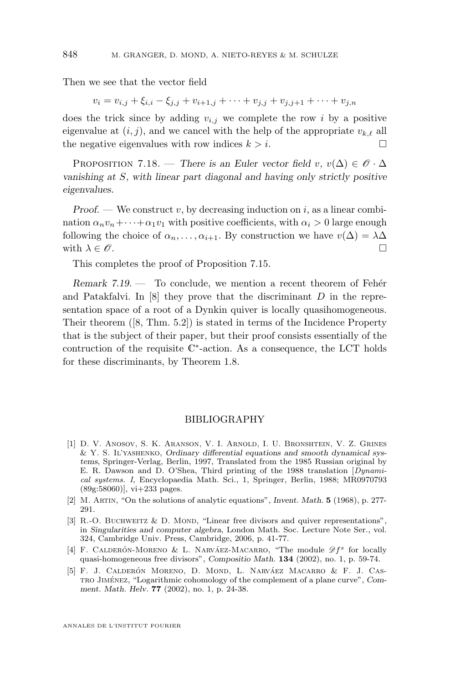<span id="page-38-0"></span>Then we see that the vector field

$$
v_i = v_{i,j} + \xi_{i,i} - \xi_{j,j} + v_{i+1,j} + \dots + v_{j,j} + v_{j,j+1} + \dots + v_{j,n}
$$

does the trick since by adding  $v_{i,j}$  we complete the row i by a positive eigenvalue at  $(i, j)$ , and we cancel with the help of the appropriate  $v_k \ell$  all the negative eigenvalues with row indices  $k > i$ .

PROPOSITION 7.18. — *There is an Euler vector field* v,  $v(\Delta) \in \mathcal{O} \cdot \Delta$ *vanishing at* S*, with linear part diagonal and having only strictly positive eigenvalues.*

*Proof.* — We construct v, by decreasing induction on i, as a linear combination  $\alpha_n v_n + \cdots + \alpha_1 v_1$  with positive coefficients, with  $\alpha_i > 0$  large enough following the choice of  $\alpha_n, \ldots, \alpha_{i+1}$ . By construction we have  $v(\Delta) = \lambda \Delta$ with  $\lambda \in \mathscr{O}$ .

This completes the proof of Proposition [7.15.](#page-36-0)

*Remark 7.19. —* To conclude, we mention a recent theorem of Fehér and Patakfalvi. In  $[8]$  they prove that the discriminant  $D$  in the representation space of a root of a Dynkin quiver is locally quasihomogeneous. Their theorem ([\[8,](#page-39-0) Thm. 5.2]) is stated in terms of the Incidence Property that is the subject of their paper, but their proof consists essentially of the contruction of the requisite  $\mathbb{C}^*$ -action. As a consequence, the LCT holds for these discriminants, by Theorem [1.8.](#page-5-0)

#### BIBLIOGRAPHY

- [1] D. V. Anosov, S. K. Aranson, V. I. Arnold, I. U. Bronshtein, V. Z. Grines & Y. S. Il'yashenko, *Ordinary differential equations and smooth dynamical systems*, Springer-Verlag, Berlin, 1997, Translated from the 1985 Russian original by E. R. Dawson and D. O'Shea, Third printing of the 1988 translation [*Dynamical systems. I*, Encyclopaedia Math. Sci., 1, Springer, Berlin, 1988; MR0970793  $(89g:58060)$ , vi $+233$  pages.
- [2] M. Artin, "On the solutions of analytic equations", *Invent. Math.* **5** (1968), p. 277- 291.
- [3] R.-O. BUCHWEITZ  $&$  D. MOND, "Linear free divisors and quiver representations", in *Singularities and computer algebra*, London Math. Soc. Lecture Note Ser., vol. 324, Cambridge Univ. Press, Cambridge, 2006, p. 41-77.
- [4] F. CALDERÓN-MORENO & L. NARVÁEZ-MACARRO, "The module  $\mathscr{D}f^s$  for locally quasi-homogeneous free divisors", *Compositio Math.* **134** (2002), no. 1, p. 59-74.
- [5] F. J. Calderón Moreno, D. Mond, L. Narváez Macarro & F. J. Castro Jiménez, "Logarithmic cohomology of the complement of a plane curve", *Comment. Math. Helv.* **77** (2002), no. 1, p. 24-38.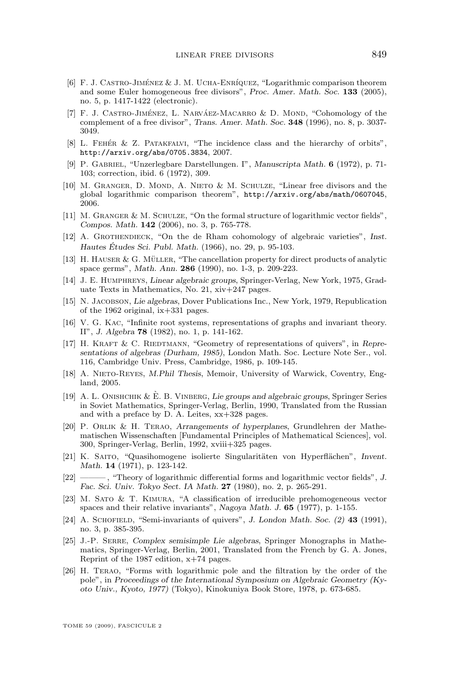- <span id="page-39-0"></span>[6] F. J. Castro-Jiménez & J. M. Ucha-Enríquez, "Logarithmic comparison theorem and some Euler homogeneous free divisors", *Proc. Amer. Math. Soc.* **133** (2005), no. 5, p. 1417-1422 (electronic).
- [7] F. J. Castro-Jiménez, L. Narváez-Macarro & D. Mond, "Cohomology of the complement of a free divisor", *Trans. Amer. Math. Soc.* **348** (1996), no. 8, p. 3037- 3049.
- [8] L. Fehér & Z. Patakfalvi, "The incidence class and the hierarchy of orbits", <http://arxiv.org/abs/0705.3834>, 2007.
- [9] P. Gabriel, "Unzerlegbare Darstellungen. I", *Manuscripta Math.* **6** (1972), p. 71- 103; correction, ibid. 6 (1972), 309.
- [10] M. Granger, D. Mond, A. Nieto & M. Schulze, "Linear free divisors and the global logarithmic comparison theorem", <http://arxiv.org/abs/math/0607045>, 2006.
- [11] M. Granger & M. Schulze, "On the formal structure of logarithmic vector fields", *Compos. Math.* **142** (2006), no. 3, p. 765-778.
- [12] A. Grothendieck, "On the de Rham cohomology of algebraic varieties", *Inst. Hautes Études Sci. Publ. Math.* (1966), no. 29, p. 95-103.
- [13] H. Hauser & G. Müller, "The cancellation property for direct products of analytic space germs", *Math. Ann.* **286** (1990), no. 1-3, p. 209-223.
- [14] J. E. Humphreys, *Linear algebraic groups*, Springer-Verlag, New York, 1975, Graduate Texts in Mathematics, No. 21, xiv+247 pages.
- [15] N. Jacobson, *Lie algebras*, Dover Publications Inc., New York, 1979, Republication of the 1962 original, ix+331 pages.
- [16] V. G. KAC, "Infinite root systems, representations of graphs and invariant theory. II", *J. Algebra* **78** (1982), no. 1, p. 141-162.
- [17] H. KRAFT & C. RIEDTMANN, "Geometry of representations of quivers", in *Representations of algebras (Durham, 1985)*, London Math. Soc. Lecture Note Ser., vol. 116, Cambridge Univ. Press, Cambridge, 1986, p. 109-145.
- [18] A. NIETO-REYES, *M.Phil Thesis*, Memoir, University of Warwick, Coventry, England, 2005.
- [19] A. L. Onishchik & È. B. Vinberg, *Lie groups and algebraic groups*, Springer Series in Soviet Mathematics, Springer-Verlag, Berlin, 1990, Translated from the Russian and with a preface by D. A. Leites, xx+328 pages.
- [20] P. Orlik & H. Terao, *Arrangements of hyperplanes*, Grundlehren der Mathematischen Wissenschaften [Fundamental Principles of Mathematical Sciences], vol. 300, Springer-Verlag, Berlin, 1992, xviii+325 pages.
- [21] K. Saito, "Quasihomogene isolierte Singularitäten von Hyperflächen", *Invent. Math.* **14** (1971), p. 123-142.
- [22] ——— , "Theory of logarithmic differential forms and logarithmic vector fields", *J. Fac. Sci. Univ. Tokyo Sect. IA Math.* **27** (1980), no. 2, p. 265-291.
- [23] M. Sato & T. Kimura, "A classification of irreducible prehomogeneous vector spaces and their relative invariants", *Nagoya Math. J.* **65** (1977), p. 1-155.
- [24] A. Schofield, "Semi-invariants of quivers", *J. London Math. Soc. (2)* **43** (1991), no. 3, p. 385-395.
- [25] J.-P. Serre, *Complex semisimple Lie algebras*, Springer Monographs in Mathematics, Springer-Verlag, Berlin, 2001, Translated from the French by G. A. Jones, Reprint of the 1987 edition, x+74 pages.
- [26] H. Terao, "Forms with logarithmic pole and the filtration by the order of the pole", in *Proceedings of the International Symposium on Algebraic Geometry (Kyoto Univ., Kyoto, 1977)* (Tokyo), Kinokuniya Book Store, 1978, p. 673-685.